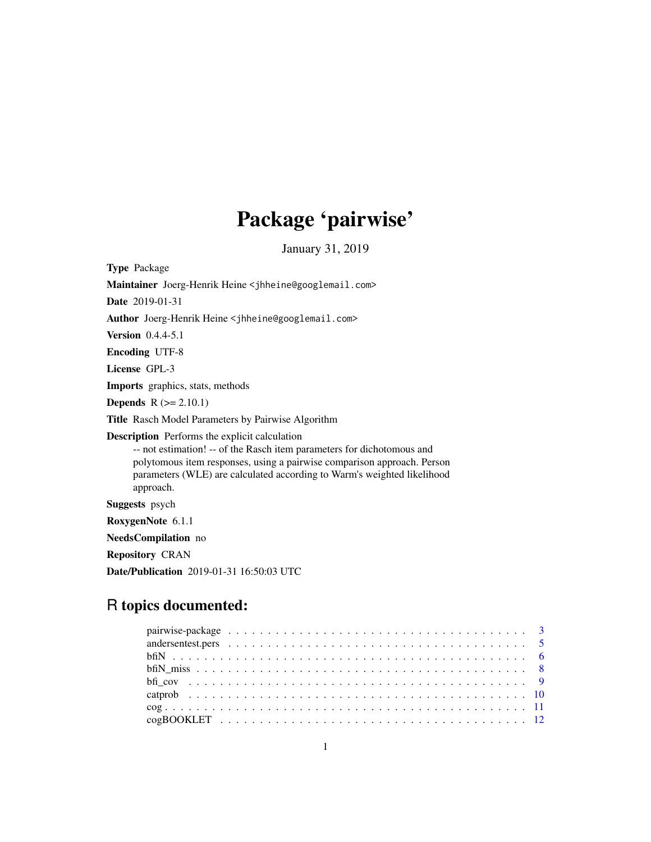# Package 'pairwise'

January 31, 2019

<span id="page-0-0"></span>Type Package Maintainer Joerg-Henrik Heine <jhheine@googlemail.com> Date 2019-01-31 Author Joerg-Henrik Heine <jhheine@googlemail.com> Version 0.4.4-5.1 Encoding UTF-8 License GPL-3 Imports graphics, stats, methods **Depends**  $R$  ( $>= 2.10.1$ ) Title Rasch Model Parameters by Pairwise Algorithm Description Performs the explicit calculation -- not estimation! -- of the Rasch item parameters for dichotomous and polytomous item responses, using a pairwise comparison approach. Person parameters (WLE) are calculated according to Warm's weighted likelihood approach. Suggests psych RoxygenNote 6.1.1 NeedsCompilation no Repository CRAN Date/Publication 2019-01-31 16:50:03 UTC

# R topics documented: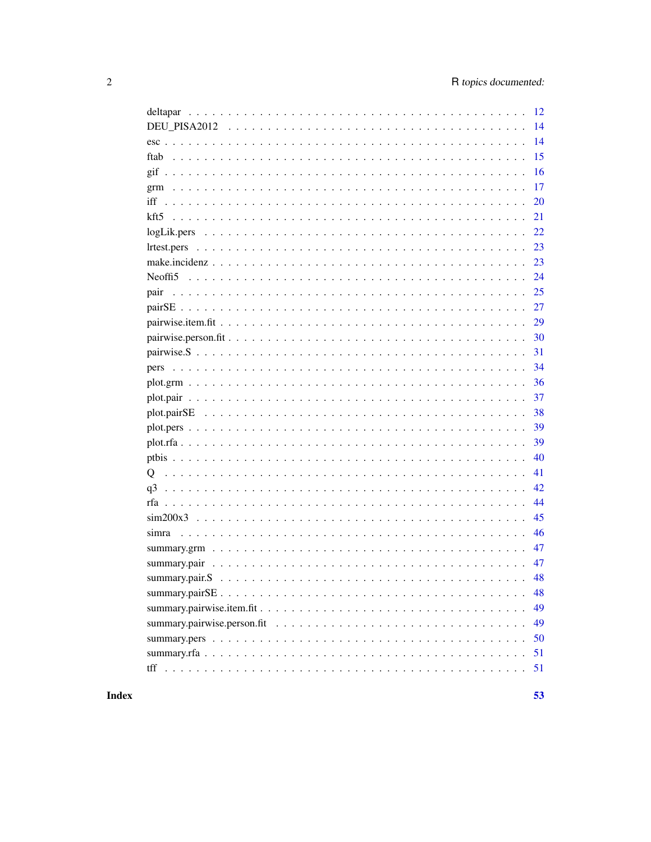|       | 16 |
|-------|----|
|       | 17 |
| iff   | 20 |
|       | 21 |
|       |    |
|       | 23 |
|       | 23 |
|       | 24 |
| pair  | 25 |
|       | 27 |
|       | 29 |
|       | 30 |
|       | 31 |
|       | 34 |
|       | 36 |
|       | 37 |
|       | 38 |
|       | 39 |
|       | 39 |
|       | 40 |
| O     | 41 |
| q3    | 42 |
|       | 44 |
|       | 45 |
| simra | 46 |
|       | 47 |
|       | 47 |
|       | 48 |
|       | 48 |
|       | 49 |
|       | 49 |
|       | 50 |
|       | 51 |
|       | 51 |
|       |    |

**Index**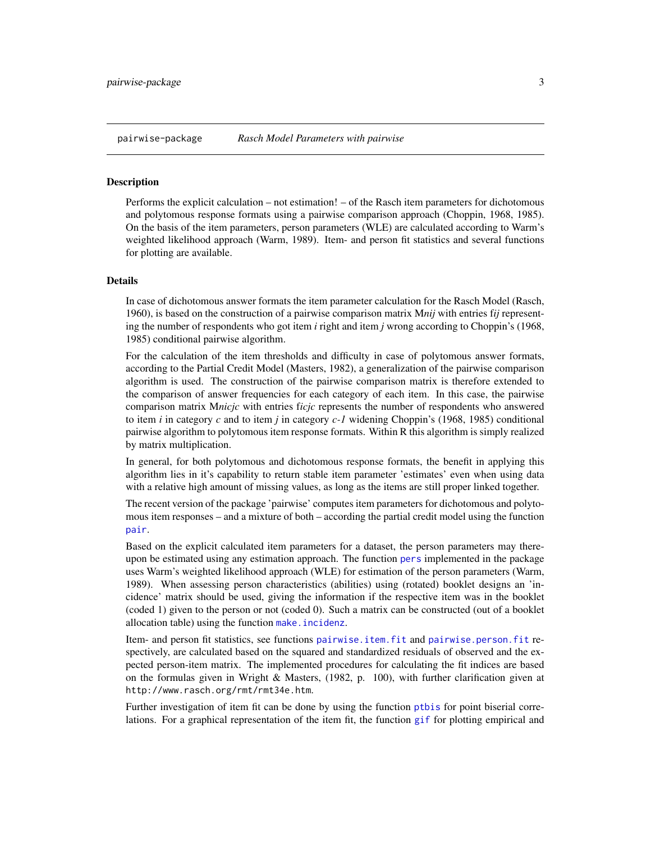<span id="page-2-0"></span>Performs the explicit calculation – not estimation! – of the Rasch item parameters for dichotomous and polytomous response formats using a pairwise comparison approach (Choppin, 1968, 1985). On the basis of the item parameters, person parameters (WLE) are calculated according to Warm's weighted likelihood approach (Warm, 1989). Item- and person fit statistics and several functions for plotting are available.

# Details

In case of dichotomous answer formats the item parameter calculation for the Rasch Model (Rasch, 1960), is based on the construction of a pairwise comparison matrix M*nij* with entries f*ij* representing the number of respondents who got item *i* right and item *j* wrong according to Choppin's (1968, 1985) conditional pairwise algorithm.

For the calculation of the item thresholds and difficulty in case of polytomous answer formats, according to the Partial Credit Model (Masters, 1982), a generalization of the pairwise comparison algorithm is used. The construction of the pairwise comparison matrix is therefore extended to the comparison of answer frequencies for each category of each item. In this case, the pairwise comparison matrix M*nicjc* with entries f*icjc* represents the number of respondents who answered to item *i* in category *c* and to item *j* in category *c-1* widening Choppin's (1968, 1985) conditional pairwise algorithm to polytomous item response formats. Within R this algorithm is simply realized by matrix multiplication.

In general, for both polytomous and dichotomous response formats, the benefit in applying this algorithm lies in it's capability to return stable item parameter 'estimates' even when using data with a relative high amount of missing values, as long as the items are still proper linked together.

The recent version of the package 'pairwise' computes item parameters for dichotomous and polytomous item responses – and a mixture of both – according the partial credit model using the function [pair](#page-24-1).

Based on the explicit calculated item parameters for a dataset, the person parameters may thereupon be estimated using any estimation approach. The function [pers](#page-33-1) implemented in the package uses Warm's weighted likelihood approach (WLE) for estimation of the person parameters (Warm, 1989). When assessing person characteristics (abilities) using (rotated) booklet designs an 'incidence' matrix should be used, giving the information if the respective item was in the booklet (coded 1) given to the person or not (coded 0). Such a matrix can be constructed (out of a booklet allocation table) using the function [make.incidenz](#page-22-1).

Item- and person fit statistics, see functions [pairwise.item.fit](#page-28-1) and [pairwise.person.fit](#page-29-1) respectively, are calculated based on the squared and standardized residuals of observed and the expected person-item matrix. The implemented procedures for calculating the fit indices are based on the formulas given in Wright & Masters,  $(1982, p. 100)$ , with further clarification given at http://www.rasch.org/rmt/rmt34e.htm.

Further investigation of item fit can be done by using the function [ptbis](#page-39-1) for point biserial correlations. For a graphical representation of the item fit, the function [gif](#page-15-1) for plotting empirical and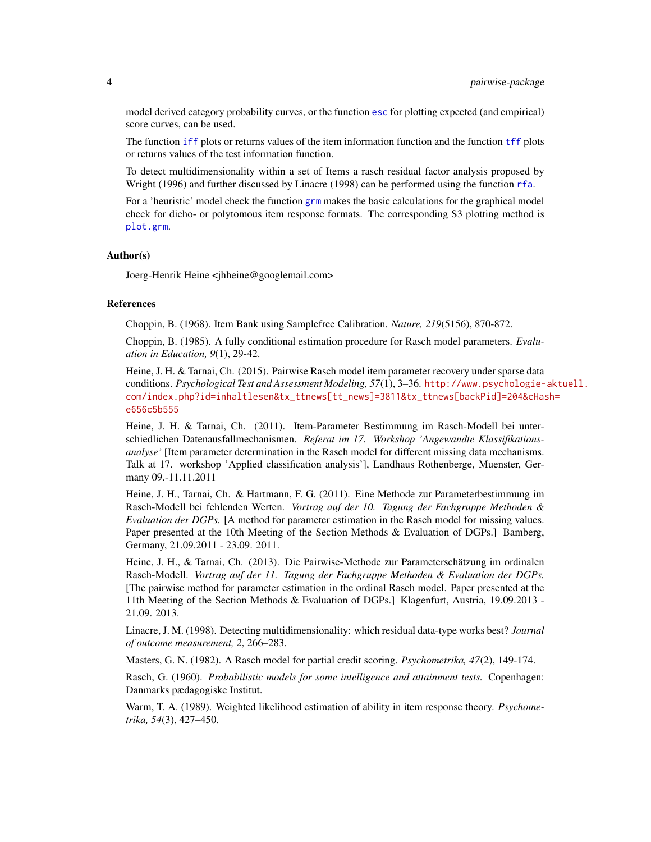model derived category probability curves, or the function [esc](#page-13-1) for plotting expected (and empirical) score curves, can be used.

The function [iff](#page-19-1) plots or returns values of the item information function and the function [tff](#page-50-1) plots or returns values of the test information function.

To detect multidimensionality within a set of Items a rasch residual factor analysis proposed by Wright (1996) and further discussed by Linacre (1998) can be performed using the function [rfa](#page-43-1).

For a 'heuristic' model check the function [grm](#page-16-1) makes the basic calculations for the graphical model check for dicho- or polytomous item response formats. The corresponding S3 plotting method is [plot.grm](#page-35-1).

#### Author(s)

Joerg-Henrik Heine <jhheine@googlemail.com>

#### References

Choppin, B. (1968). Item Bank using Samplefree Calibration. *Nature, 219*(5156), 870-872.

Choppin, B. (1985). A fully conditional estimation procedure for Rasch model parameters. *Evaluation in Education, 9*(1), 29-42.

Heine, J. H. & Tarnai, Ch. (2015). Pairwise Rasch model item parameter recovery under sparse data conditions. *Psychological Test and Assessment Modeling, 57*(1), 3–36. [http://www.psychologie-](http://www.psychologie-aktuell.com/index.php?id=inhaltlesen&tx_ttnews[tt_news]=3811&tx_ttnews[backPid]=204&cHash=e656c5b555)aktuell. [com/index.php?id=inhaltlesen&tx\\_ttnews\[tt\\_news\]=3811&tx\\_ttnews\[backPid\]=204&cHas](http://www.psychologie-aktuell.com/index.php?id=inhaltlesen&tx_ttnews[tt_news]=3811&tx_ttnews[backPid]=204&cHash=e656c5b555)h= [e656c5b555](http://www.psychologie-aktuell.com/index.php?id=inhaltlesen&tx_ttnews[tt_news]=3811&tx_ttnews[backPid]=204&cHash=e656c5b555)

Heine, J. H. & Tarnai, Ch. (2011). Item-Parameter Bestimmung im Rasch-Modell bei unterschiedlichen Datenausfallmechanismen. *Referat im 17. Workshop 'Angewandte Klassifikationsanalyse'* [Item parameter determination in the Rasch model for different missing data mechanisms. Talk at 17. workshop 'Applied classification analysis'], Landhaus Rothenberge, Muenster, Germany 09.-11.11.2011

Heine, J. H., Tarnai, Ch. & Hartmann, F. G. (2011). Eine Methode zur Parameterbestimmung im Rasch-Modell bei fehlenden Werten. *Vortrag auf der 10. Tagung der Fachgruppe Methoden & Evaluation der DGPs.* [A method for parameter estimation in the Rasch model for missing values. Paper presented at the 10th Meeting of the Section Methods & Evaluation of DGPs.] Bamberg, Germany, 21.09.2011 - 23.09. 2011.

Heine, J. H., & Tarnai, Ch. (2013). Die Pairwise-Methode zur Parameterschätzung im ordinalen Rasch-Modell. *Vortrag auf der 11. Tagung der Fachgruppe Methoden & Evaluation der DGPs.* [The pairwise method for parameter estimation in the ordinal Rasch model. Paper presented at the 11th Meeting of the Section Methods & Evaluation of DGPs.] Klagenfurt, Austria, 19.09.2013 - 21.09. 2013.

Linacre, J. M. (1998). Detecting multidimensionality: which residual data-type works best? *Journal of outcome measurement, 2*, 266–283.

Masters, G. N. (1982). A Rasch model for partial credit scoring. *Psychometrika, 47*(2), 149-174.

Rasch, G. (1960). *Probabilistic models for some intelligence and attainment tests.* Copenhagen: Danmarks pædagogiske Institut.

Warm, T. A. (1989). Weighted likelihood estimation of ability in item response theory. *Psychometrika, 54*(3), 427–450.

<span id="page-3-0"></span>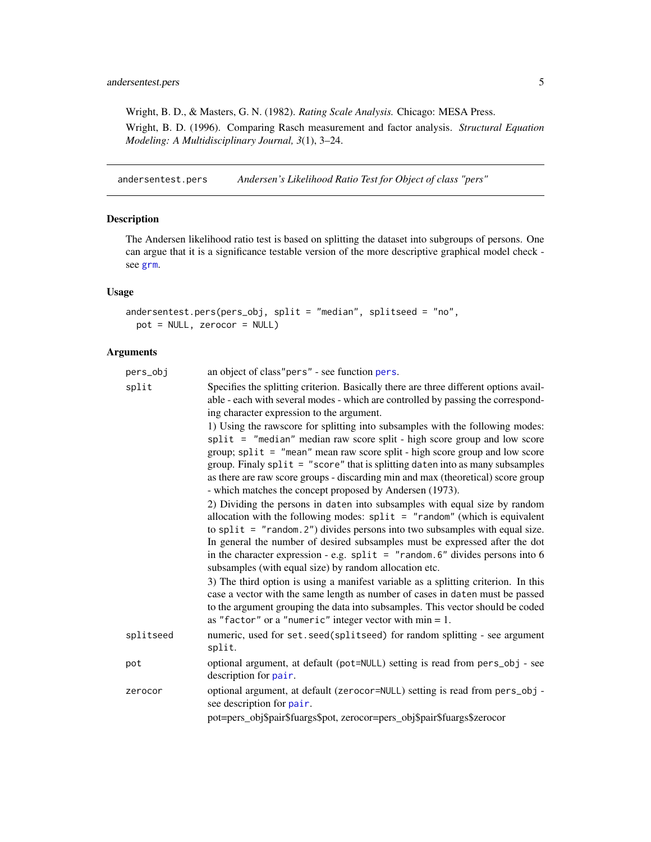<span id="page-4-0"></span>Wright, B. D., & Masters, G. N. (1982). *Rating Scale Analysis.* Chicago: MESA Press. Wright, B. D. (1996). Comparing Rasch measurement and factor analysis. *Structural Equation Modeling: A Multidisciplinary Journal, 3*(1), 3–24.

andersentest.pers *Andersen's Likelihood Ratio Test for Object of class "pers"*

# Description

The Andersen likelihood ratio test is based on splitting the dataset into subgroups of persons. One can argue that it is a significance testable version of the more descriptive graphical model check see [grm](#page-16-1).

# Usage

```
andersentest.pers(pers_obj, split = "median", splitseed = "no",
 pot = NULL, zerocor = NULL)
```

| pers_obj  | an object of class" pers" - see function pers.                                                                                                                                                                                                                                                                                                                                                                                                                              |
|-----------|-----------------------------------------------------------------------------------------------------------------------------------------------------------------------------------------------------------------------------------------------------------------------------------------------------------------------------------------------------------------------------------------------------------------------------------------------------------------------------|
| split     | Specifies the splitting criterion. Basically there are three different options avail-<br>able - each with several modes - which are controlled by passing the correspond-<br>ing character expression to the argument.                                                                                                                                                                                                                                                      |
|           | 1) Using the rawscore for splitting into subsamples with the following modes:<br>split = "median" median raw score split - high score group and low score<br>group; split = "mean" mean raw score split - high score group and low score<br>group. Finaly $split = "score"$ that is splitting daten into as many subsamples<br>as there are raw score groups - discarding min and max (theoretical) score group<br>- which matches the concept proposed by Andersen (1973). |
|           | 2) Dividing the persons in daten into subsamples with equal size by random<br>allocation with the following modes: $split = "random"$ (which is equivalent<br>to split = $"$ random. 2") divides persons into two subsamples with equal size.<br>In general the number of desired subsamples must be expressed after the dot<br>in the character expression - e.g. $split = "random.6"$ divides persons into 6<br>subsamples (with equal size) by random allocation etc.    |
|           | 3) The third option is using a manifest variable as a splitting criterion. In this<br>case a vector with the same length as number of cases in daten must be passed<br>to the argument grouping the data into subsamples. This vector should be coded<br>as "factor" or a "numeric" integer vector with $min = 1$ .                                                                                                                                                         |
| splitseed | numeric, used for set. seed(splitseed) for random splitting - see argument<br>split.                                                                                                                                                                                                                                                                                                                                                                                        |
| pot       | optional argument, at default (pot=NULL) setting is read from pers_obj - see<br>description for pair.                                                                                                                                                                                                                                                                                                                                                                       |
| zerocor   | optional argument, at default (zerocor=NULL) setting is read from pers_obj -<br>see description for pair.                                                                                                                                                                                                                                                                                                                                                                   |
|           | pot=pers_obj\$pair\$fuargs\$pot, zerocor=pers_obj\$pair\$fuargs\$zerocor                                                                                                                                                                                                                                                                                                                                                                                                    |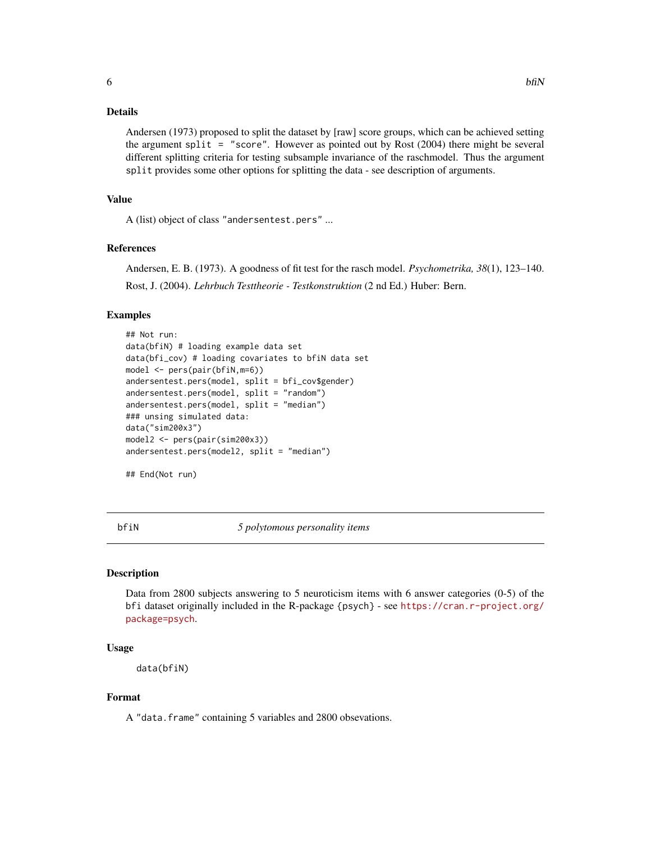<span id="page-5-0"></span>Andersen (1973) proposed to split the dataset by [raw] score groups, which can be achieved setting the argument split = "score". However as pointed out by Rost  $(2004)$  there might be several different splitting criteria for testing subsample invariance of the raschmodel. Thus the argument split provides some other options for splitting the data - see description of arguments.

#### Value

A (list) object of class "andersentest.pers" ...

#### References

Andersen, E. B. (1973). A goodness of fit test for the rasch model. *Psychometrika, 38*(1), 123–140. Rost, J. (2004). *Lehrbuch Testtheorie - Testkonstruktion* (2 nd Ed.) Huber: Bern.

#### Examples

```
## Not run:
data(bfiN) # loading example data set
data(bfi_cov) # loading covariates to bfiN data set
model <- pers(pair(bfiN,m=6))
andersentest.pers(model, split = bfi_cov$gender)
andersentest.pers(model, split = "random")
andersentest.pers(model, split = "median")
### unsing simulated data:
data("sim200x3")
model2 <- pers(pair(sim200x3))
andersentest.pers(model2, split = "median")
```

```
## End(Not run)
```
<span id="page-5-1"></span>

bfiN *5 polytomous personality items*

# **Description**

Data from 2800 subjects answering to 5 neuroticism items with 6 answer categories (0-5) of the bfi dataset originally included in the R-package {psych} - see [https://cran.r-project.org/](https://cran.r-project.org/package=psych) [package=psych](https://cran.r-project.org/package=psych).

#### Usage

data(bfiN)

# Format

A "data.frame" containing 5 variables and 2800 obsevations.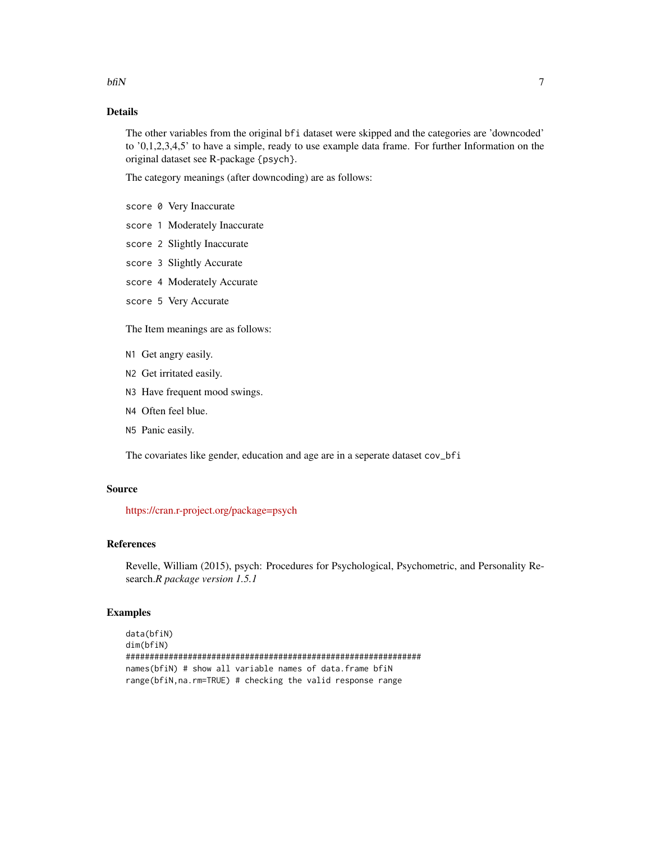The other variables from the original bfi dataset were skipped and the categories are 'downcoded' to '0,1,2,3,4,5' to have a simple, ready to use example data frame. For further Information on the original dataset see R-package {psych}.

The category meanings (after downcoding) are as follows:

- score 0 Very Inaccurate
- score 1 Moderately Inaccurate
- score 2 Slightly Inaccurate
- score 3 Slightly Accurate
- score 4 Moderately Accurate
- score 5 Very Accurate

The Item meanings are as follows:

- N1 Get angry easily.
- N2 Get irritated easily.
- N3 Have frequent mood swings.
- N4 Often feel blue.
- N5 Panic easily.

The covariates like gender, education and age are in a seperate dataset cov\_bfi

# Source

<https://cran.r-project.org/package=psych>

# References

Revelle, William (2015), psych: Procedures for Psychological, Psychometric, and Personality Research.*R package version 1.5.1*

# Examples

```
data(bfiN)
dim(bfiN)
##############################################################
names(bfiN) # show all variable names of data.frame bfiN
range(bfiN,na.rm=TRUE) # checking the valid response range
```
 $\delta$  5 bfiN 7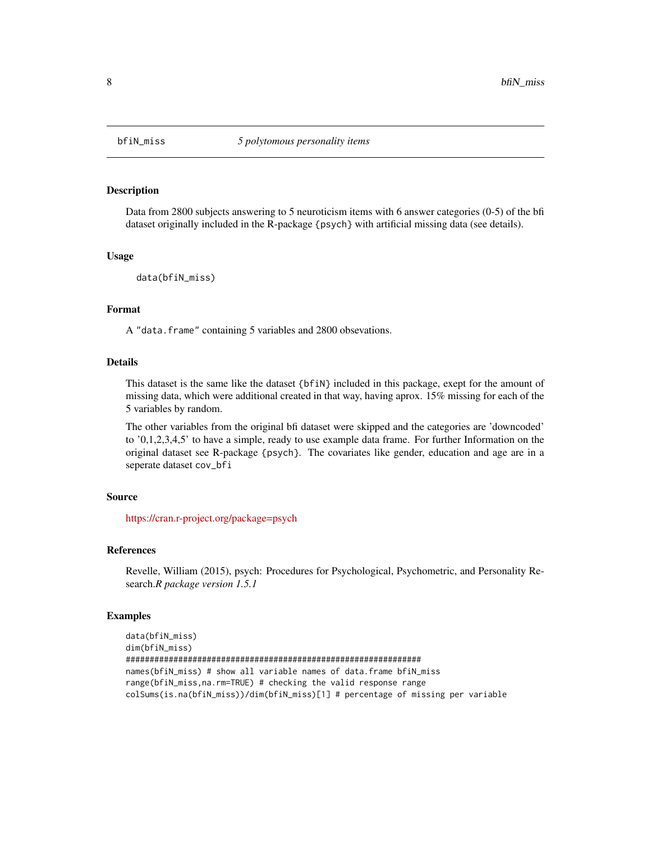<span id="page-7-1"></span><span id="page-7-0"></span>

Data from 2800 subjects answering to 5 neuroticism items with 6 answer categories (0-5) of the bfi dataset originally included in the R-package {psych} with artificial missing data (see details).

# Usage

```
data(bfiN_miss)
```
# Format

A "data.frame" containing 5 variables and 2800 obsevations.

# Details

This dataset is the same like the dataset {bfiN} included in this package, exept for the amount of missing data, which were additional created in that way, having aprox. 15% missing for each of the 5 variables by random.

The other variables from the original bfi dataset were skipped and the categories are 'downcoded' to '0,1,2,3,4,5' to have a simple, ready to use example data frame. For further Information on the original dataset see R-package {psych}. The covariates like gender, education and age are in a seperate dataset cov\_bfi

# Source

<https://cran.r-project.org/package=psych>

#### References

Revelle, William (2015), psych: Procedures for Psychological, Psychometric, and Personality Research.*R package version 1.5.1*

```
data(bfiN_miss)
dim(bfiN_miss)
##############################################################
names(bfiN_miss) # show all variable names of data.frame bfiN_miss
range(bfiN_miss,na.rm=TRUE) # checking the valid response range
colSums(is.na(bfiN_miss))/dim(bfiN_miss)[1] # percentage of missing per variable
```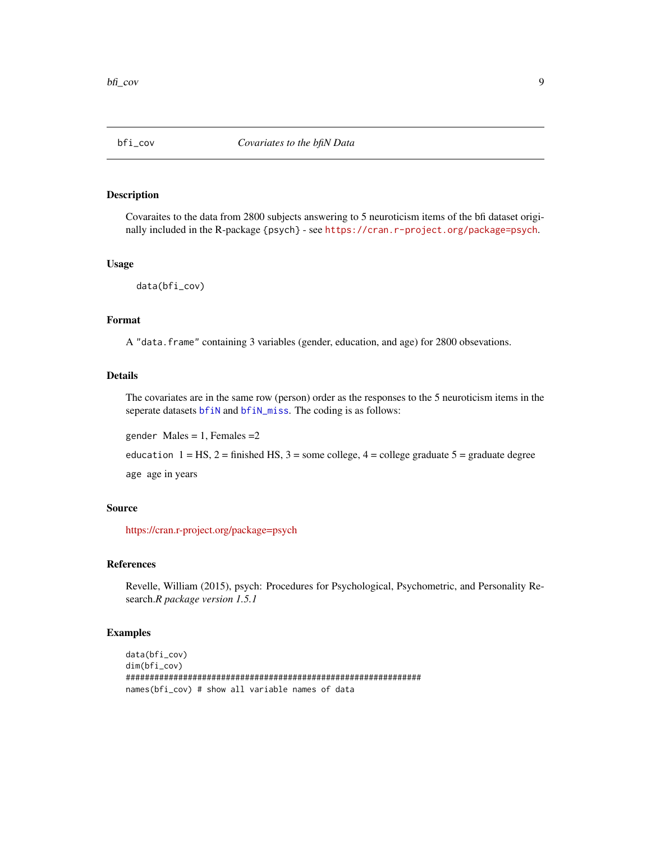<span id="page-8-0"></span>

Covaraites to the data from 2800 subjects answering to 5 neuroticism items of the bfi dataset originally included in the R-package {psych} - see <https://cran.r-project.org/package=psych>.

#### Usage

data(bfi\_cov)

### Format

A "data.frame" containing 3 variables (gender, education, and age) for 2800 obsevations.

#### Details

The covariates are in the same row (person) order as the responses to the 5 neuroticism items in the seperate datasets [bfiN](#page-5-1) and [bfiN\\_miss](#page-7-1). The coding is as follows:

gender Males =  $1$ , Females =  $2$ 

education  $1 = HS$ ,  $2 =$  finished HS,  $3 =$  some college,  $4 =$  college graduate  $5 =$  graduate degree

age age in years

# Source

<https://cran.r-project.org/package=psych>

#### References

Revelle, William (2015), psych: Procedures for Psychological, Psychometric, and Personality Research.*R package version 1.5.1*

```
data(bfi_cov)
dim(bfi_cov)
##############################################################
names(bfi_cov) # show all variable names of data
```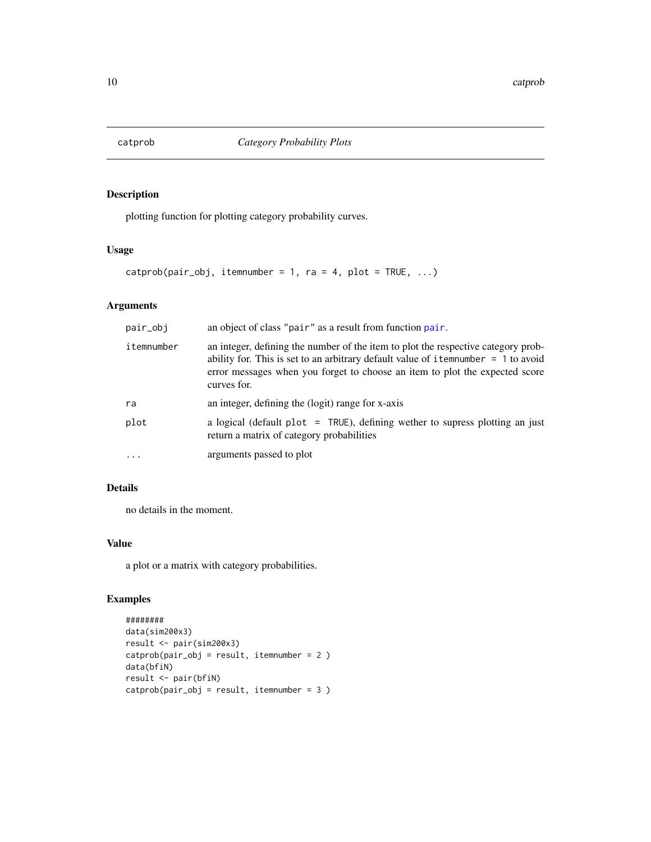<span id="page-9-1"></span><span id="page-9-0"></span>

plotting function for plotting category probability curves.

# Usage

```
catprob(pair_obj, itemnumber = 1, ra = 4, plot = TRUE, ...)
```
# Arguments

| pair_obj   | an object of class "pair" as a result from function pair.                                                                                                                                                                                                               |
|------------|-------------------------------------------------------------------------------------------------------------------------------------------------------------------------------------------------------------------------------------------------------------------------|
| itemnumber | an integer, defining the number of the item to plot the respective category prob-<br>ability for. This is set to an arbitrary default value of item number $= 1$ to avoid<br>error messages when you forget to choose an item to plot the expected score<br>curves for. |
| ra         | an integer, defining the (logit) range for x-axis                                                                                                                                                                                                                       |
| plot       | a logical (default plot = $TRUE$ ), defining wether to supress plotting an just<br>return a matrix of category probabilities                                                                                                                                            |
| $\cdots$   | arguments passed to plot                                                                                                                                                                                                                                                |

# Details

no details in the moment.

# Value

a plot or a matrix with category probabilities.

```
########
data(sim200x3)
result <- pair(sim200x3)
catprob(pair_obj = result, itemnumber = 2 )
data(bfiN)
result <- pair(bfiN)
catprob(pair_obj = result, itemnumber = 3 )
```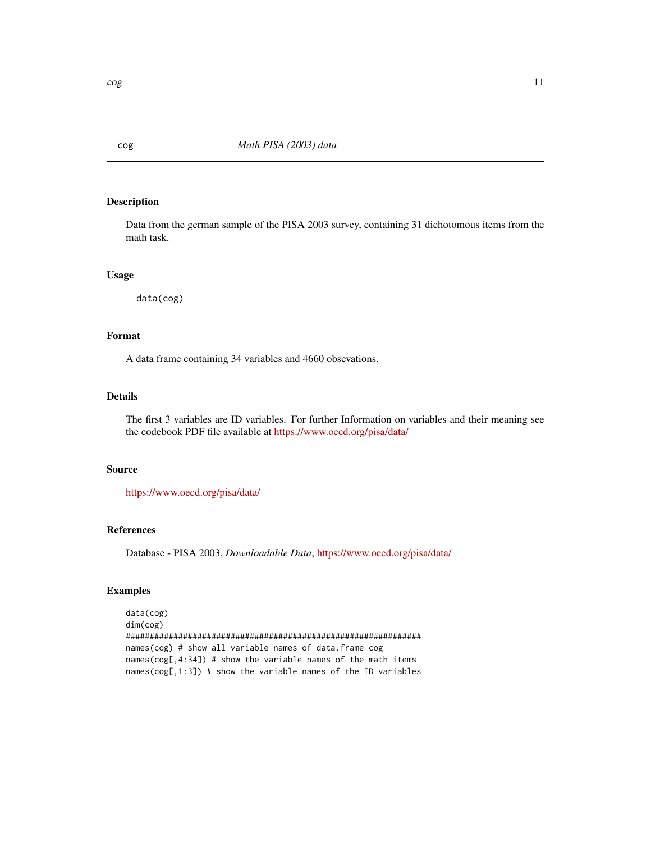<span id="page-10-1"></span><span id="page-10-0"></span>

Data from the german sample of the PISA 2003 survey, containing 31 dichotomous items from the math task.

# Usage

data(cog)

# Format

A data frame containing 34 variables and 4660 obsevations.

#### Details

The first 3 variables are ID variables. For further Information on variables and their meaning see the codebook PDF file available at <https://www.oecd.org/pisa/data/>

#### Source

<https://www.oecd.org/pisa/data/>

#### References

Database - PISA 2003, *Downloadable Data*, <https://www.oecd.org/pisa/data/>

# Examples

data(cog) dim(cog) ############################################################## names(cog) # show all variable names of data.frame cog names( $cog[, 4:34]$ ) # show the variable names of the math items names(cog[,1:3]) # show the variable names of the ID variables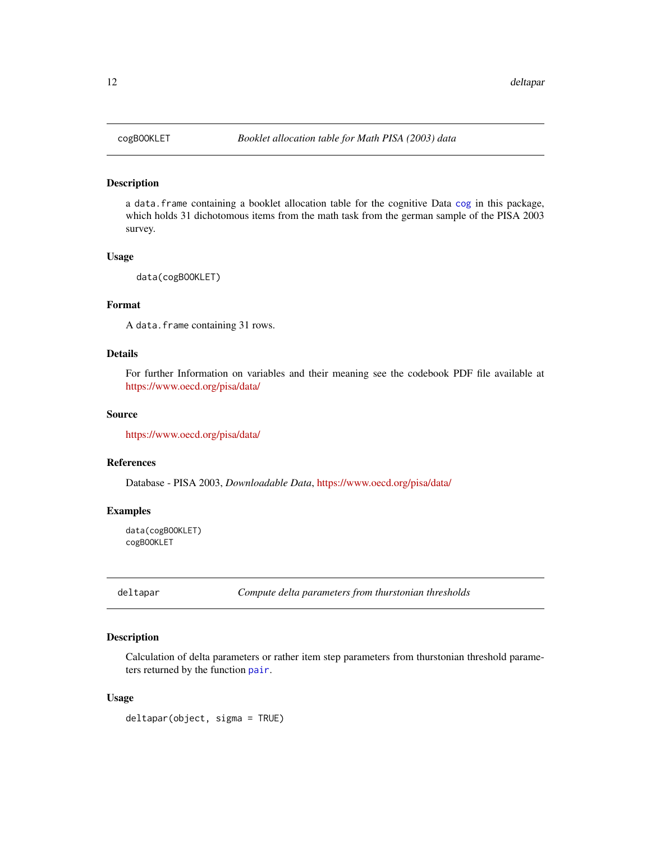a data.frame containing a booklet allocation table for the cognitive Data [cog](#page-10-1) in this package, which holds 31 dichotomous items from the math task from the german sample of the PISA 2003 survey.

#### Usage

```
data(cogBOOKLET)
```
#### Format

A data.frame containing 31 rows.

#### Details

For further Information on variables and their meaning see the codebook PDF file available at <https://www.oecd.org/pisa/data/>

# Source

<https://www.oecd.org/pisa/data/>

#### References

Database - PISA 2003, *Downloadable Data*, <https://www.oecd.org/pisa/data/>

#### Examples

data(cogBOOKLET) cogBOOKLET

deltapar *Compute delta parameters from thurstonian thresholds*

# Description

Calculation of delta parameters or rather item step parameters from thurstonian threshold parameters returned by the function [pair](#page-24-1).

#### Usage

deltapar(object, sigma = TRUE)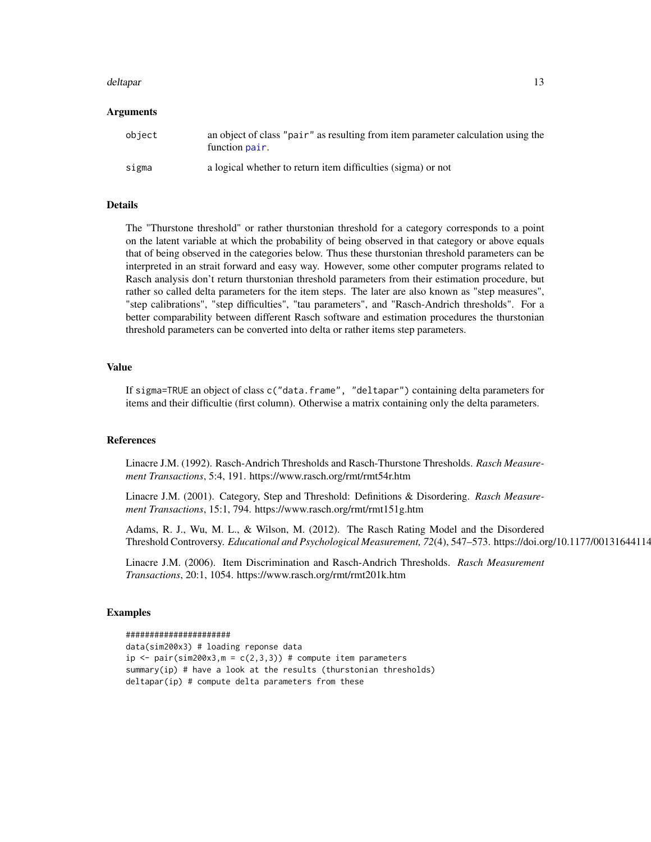#### <span id="page-12-0"></span>deltapar tidak di sebagai kecamatan di sebagai kecamatan di sebagai kecamatan di sebagai kecamatan di sebagai

#### Arguments

| object | an object of class "pair" as resulting from item parameter calculation using the<br>function pair. |
|--------|----------------------------------------------------------------------------------------------------|
| sigma  | a logical whether to return item difficulties (sigma) or not                                       |

# Details

The "Thurstone threshold" or rather thurstonian threshold for a category corresponds to a point on the latent variable at which the probability of being observed in that category or above equals that of being observed in the categories below. Thus these thurstonian threshold parameters can be interpreted in an strait forward and easy way. However, some other computer programs related to Rasch analysis don't return thurstonian threshold parameters from their estimation procedure, but rather so called delta parameters for the item steps. The later are also known as "step measures", "step calibrations", "step difficulties", "tau parameters", and "Rasch-Andrich thresholds". For a better comparability between different Rasch software and estimation procedures the thurstonian threshold parameters can be converted into delta or rather items step parameters.

#### Value

If sigma=TRUE an object of class c("data.frame", "deltapar") containing delta parameters for items and their difficultie (first column). Otherwise a matrix containing only the delta parameters.

#### References

Linacre J.M. (1992). Rasch-Andrich Thresholds and Rasch-Thurstone Thresholds. *Rasch Measurement Transactions*, 5:4, 191. https://www.rasch.org/rmt/rmt54r.htm

Linacre J.M. (2001). Category, Step and Threshold: Definitions & Disordering. *Rasch Measurement Transactions*, 15:1, 794. https://www.rasch.org/rmt/rmt151g.htm

Adams, R. J., Wu, M. L., & Wilson, M. (2012). The Rasch Rating Model and the Disordered Threshold Controversy. *Educational and Psychological Measurement, 72*(4), 547–573. https://doi.org/10.1177/0013164411432166

Linacre J.M. (2006). Item Discrimination and Rasch-Andrich Thresholds. *Rasch Measurement Transactions*, 20:1, 1054. https://www.rasch.org/rmt/rmt201k.htm

```
######################
data(sim200x3) # loading reponse data
ip \le pair(sim200x3, m = c(2,3,3)) # compute item parameters
summary(ip) # have a look at the results (thurstonian thresholds)
deltapar(ip) # compute delta parameters from these
```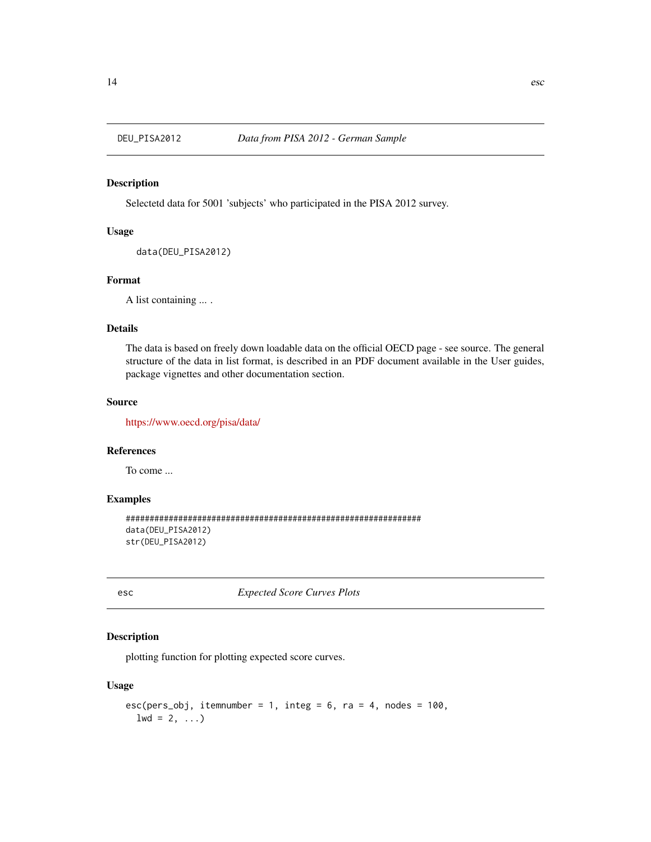Selectetd data for 5001 'subjects' who participated in the PISA 2012 survey.

# Usage

```
data(DEU_PISA2012)
```
# Format

A list containing ... .

# Details

The data is based on freely down loadable data on the official OECD page - see source. The general structure of the data in list format, is described in an PDF document available in the User guides, package vignettes and other documentation section.

# Source

<https://www.oecd.org/pisa/data/>

# References

To come ...

#### Examples

```
##############################################################
data(DEU_PISA2012)
str(DEU_PISA2012)
```
<span id="page-13-1"></span>esc *Expected Score Curves Plots*

# Description

plotting function for plotting expected score curves.

# Usage

```
esc(pers\_obj, itemnumber = 1, integ = 6, ra = 4, nodes = 100,1wd = 2, ...
```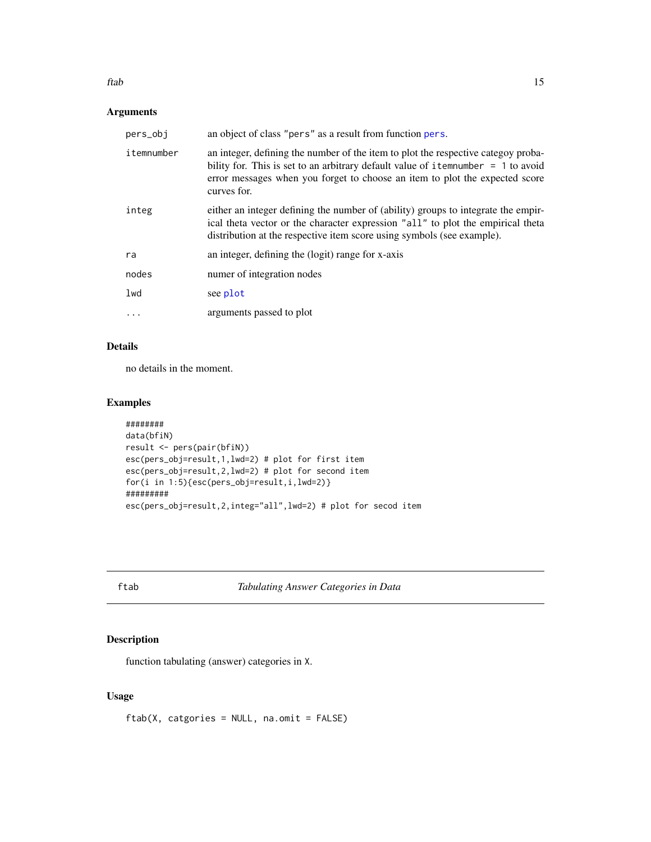#### <span id="page-14-0"></span>ftab 15

# Arguments

| pers_obj   | an object of class "pers" as a result from function pers.                                                                                                                                                                                                              |
|------------|------------------------------------------------------------------------------------------------------------------------------------------------------------------------------------------------------------------------------------------------------------------------|
| itemnumber | an integer, defining the number of the item to plot the respective categoy proba-<br>bility for. This is set to an arbitrary default value of item number $= 1$ to avoid<br>error messages when you forget to choose an item to plot the expected score<br>curves for. |
| integ      | either an integer defining the number of (ability) groups to integrate the empir-<br>ical theta vector or the character expression "all" to plot the empirical theta<br>distribution at the respective item score using symbols (see example).                         |
| ra         | an integer, defining the (logit) range for x-axis                                                                                                                                                                                                                      |
| nodes      | numer of integration nodes                                                                                                                                                                                                                                             |
| lwd        | see plot                                                                                                                                                                                                                                                               |
|            | arguments passed to plot                                                                                                                                                                                                                                               |

# Details

no details in the moment.

# Examples

```
########
data(bfiN)
result <- pers(pair(bfiN))
esc(pers_obj=result,1,lwd=2) # plot for first item
esc(pers_obj=result,2,lwd=2) # plot for second item
for(i in 1:5){esc(pers_obj=result,i,lwd=2)}
#########
esc(pers_obj=result,2,integ="all",lwd=2) # plot for secod item
```
ftab *Tabulating Answer Categories in Data*

# Description

function tabulating (answer) categories in X.

# Usage

ftab(X, catgories = NULL, na.omit = FALSE)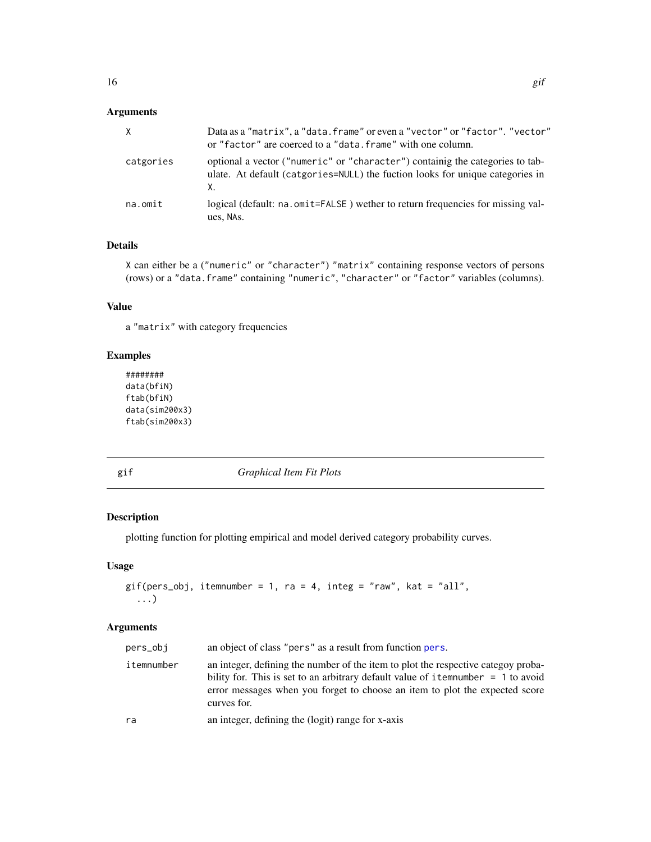# <span id="page-15-0"></span>Arguments

| X         | Data as a "matrix", a "data. frame" or even a "vector" or "factor". "vector"<br>or "factor" are coerced to a "data. frame" with one column.                          |
|-----------|----------------------------------------------------------------------------------------------------------------------------------------------------------------------|
| catgories | optional a vector ("numeric" or "character") containig the categories to tab-<br>ulate. At default (catgories=NULL) the fuction looks for unique categories in<br>Х. |
| na.omit   | logical (default: na. omit=FALSE) wether to return frequencies for missing val-<br>ues, NAs.                                                                         |

# Details

X can either be a ("numeric" or "character") "matrix" containing response vectors of persons (rows) or a "data.frame" containing "numeric", "character" or "factor" variables (columns).

# Value

a "matrix" with category frequencies

# Examples

```
########
data(bfiN)
ftab(bfiN)
data(sim200x3)
ftab(sim200x3)
```
<span id="page-15-1"></span>gif *Graphical Item Fit Plots*

# Description

plotting function for plotting empirical and model derived category probability curves.

# Usage

```
gif(pers_obj, itemnumber = 1, ra = 4, integ = "raw", kat = "all",...)
```

| pers_obi   | an object of class "pers" as a result from function pers.                                                                                                                                                                                                              |
|------------|------------------------------------------------------------------------------------------------------------------------------------------------------------------------------------------------------------------------------------------------------------------------|
| itemnumber | an integer, defining the number of the item to plot the respective categoy proba-<br>bility for. This is set to an arbitrary default value of item number $= 1$ to avoid<br>error messages when you forget to choose an item to plot the expected score<br>curves for. |
| ra         | an integer, defining the (logit) range for x-axis                                                                                                                                                                                                                      |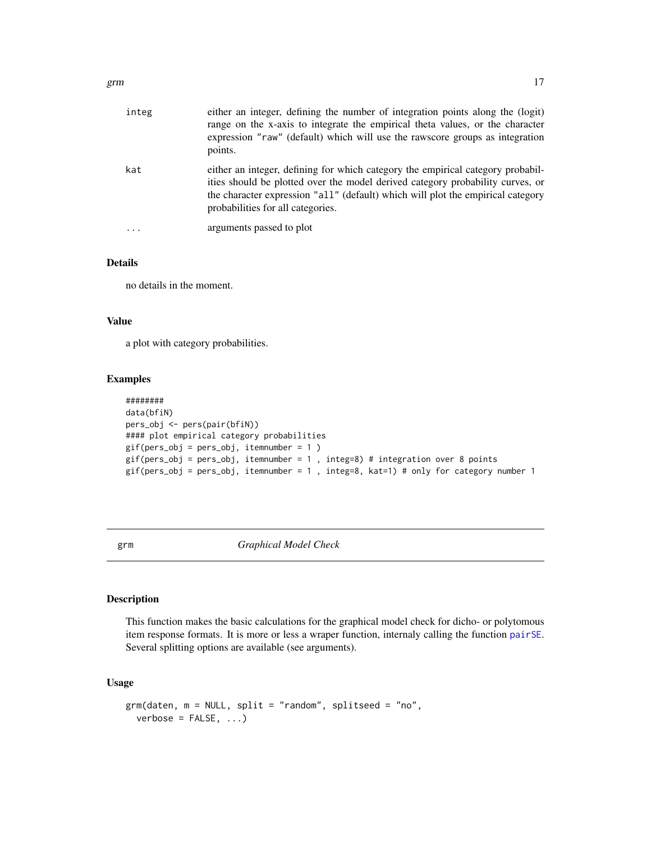<span id="page-16-0"></span>

| integ | either an integer, defining the number of integration points along the (logit)<br>range on the x-axis to integrate the empirical theta values, or the character<br>expression "raw" (default) which will use the rawscore groups as integration<br>points.                                |
|-------|-------------------------------------------------------------------------------------------------------------------------------------------------------------------------------------------------------------------------------------------------------------------------------------------|
| kat   | either an integer, defining for which category the empirical category probabil-<br>ities should be plotted over the model derived category probability curves, or<br>the character expression "all" (default) which will plot the empirical category<br>probabilities for all categories. |
| .     | arguments passed to plot                                                                                                                                                                                                                                                                  |

no details in the moment.

### Value

a plot with category probabilities.

# Examples

```
########
data(bfiN)
pers_obj <- pers(pair(bfiN))
#### plot empirical category probabilities
gif(pers_obj = pers_obj, itemnumber = 1 )
gif(pers_obj = pers_obj, itemnumber = 1 , integ=8) # integration over 8 points
gif(pers\_obj = pers\_obj, itemnumber = 1, integ=8, kat=1) # only for category number 1
```
<span id="page-16-1"></span>grm *Graphical Model Check*

#### Description

This function makes the basic calculations for the graphical model check for dicho- or polytomous item response formats. It is more or less a wraper function, internaly calling the function [pairSE](#page-26-1). Several splitting options are available (see arguments).

# Usage

```
grm(daten, m = NULL, split = "random", splitseed = "no",
 verbose = FALSE, ...)
```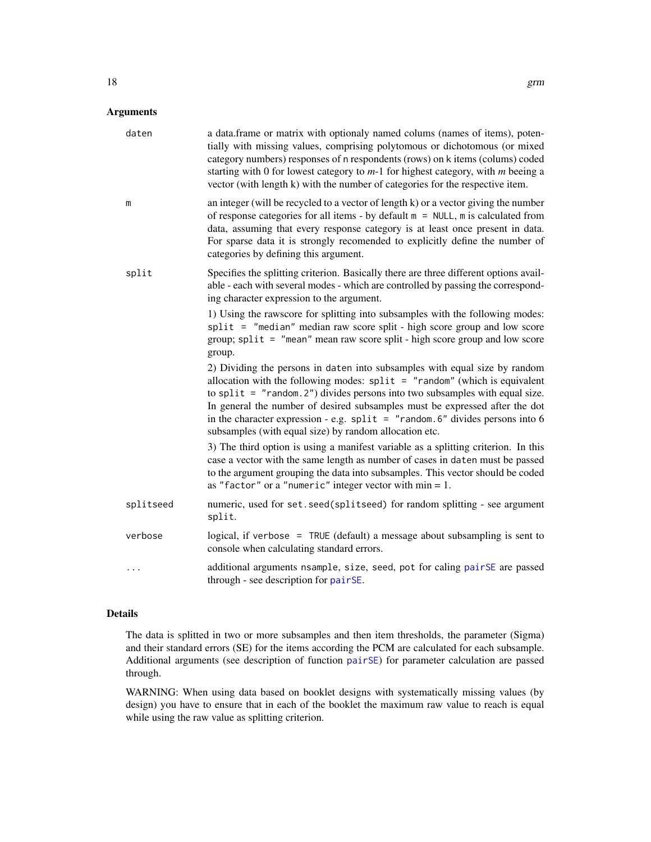# Arguments

| daten     | a data.frame or matrix with optionaly named colums (names of items), poten-<br>tially with missing values, comprising polytomous or dichotomous (or mixed<br>category numbers) responses of n respondents (rows) on k items (colums) coded<br>starting with 0 for lowest category to $m-1$ for highest category, with $m$ beeing a<br>vector (with length k) with the number of categories for the respective item.                                                        |
|-----------|----------------------------------------------------------------------------------------------------------------------------------------------------------------------------------------------------------------------------------------------------------------------------------------------------------------------------------------------------------------------------------------------------------------------------------------------------------------------------|
| m         | an integer (will be recycled to a vector of length k) or a vector giving the number<br>of response categories for all items - by default $m = NULL$ , m is calculated from<br>data, assuming that every response category is at least once present in data.<br>For sparse data it is strongly recomended to explicitly define the number of<br>categories by defining this argument.                                                                                       |
| split     | Specifies the splitting criterion. Basically there are three different options avail-<br>able - each with several modes - which are controlled by passing the correspond-<br>ing character expression to the argument.                                                                                                                                                                                                                                                     |
|           | 1) Using the rawscore for splitting into subsamples with the following modes:<br>split = "median" median raw score split - high score group and low score<br>group; split = "mean" mean raw score split - high score group and low score<br>group.                                                                                                                                                                                                                         |
|           | 2) Dividing the persons in daten into subsamples with equal size by random<br>allocation with the following modes: $split = "random"$ (which is equivalent<br>to split = $"$ random. 2") divides persons into two subsamples with equal size.<br>In general the number of desired subsamples must be expressed after the dot<br>in the character expression - e.g. split = $"$ random. 6" divides persons into 6<br>subsamples (with equal size) by random allocation etc. |
|           | 3) The third option is using a manifest variable as a splitting criterion. In this<br>case a vector with the same length as number of cases in daten must be passed<br>to the argument grouping the data into subsamples. This vector should be coded<br>as "factor" or a "numeric" integer vector with $min = 1$ .                                                                                                                                                        |
| splitseed | numeric, used for set. seed(splitseed) for random splitting - see argument<br>split.                                                                                                                                                                                                                                                                                                                                                                                       |
| verbose   | logical, if verbose = TRUE (default) a message about subsampling is sent to<br>console when calculating standard errors.                                                                                                                                                                                                                                                                                                                                                   |
|           | additional arguments nsample, size, seed, pot for caling pairSE are passed<br>through - see description for pairSE.                                                                                                                                                                                                                                                                                                                                                        |

# Details

The data is splitted in two or more subsamples and then item thresholds, the parameter (Sigma) and their standard errors (SE) for the items according the PCM are calculated for each subsample. Additional arguments (see description of function [pairSE](#page-26-1)) for parameter calculation are passed through.

WARNING: When using data based on booklet designs with systematically missing values (by design) you have to ensure that in each of the booklet the maximum raw value to reach is equal while using the raw value as splitting criterion.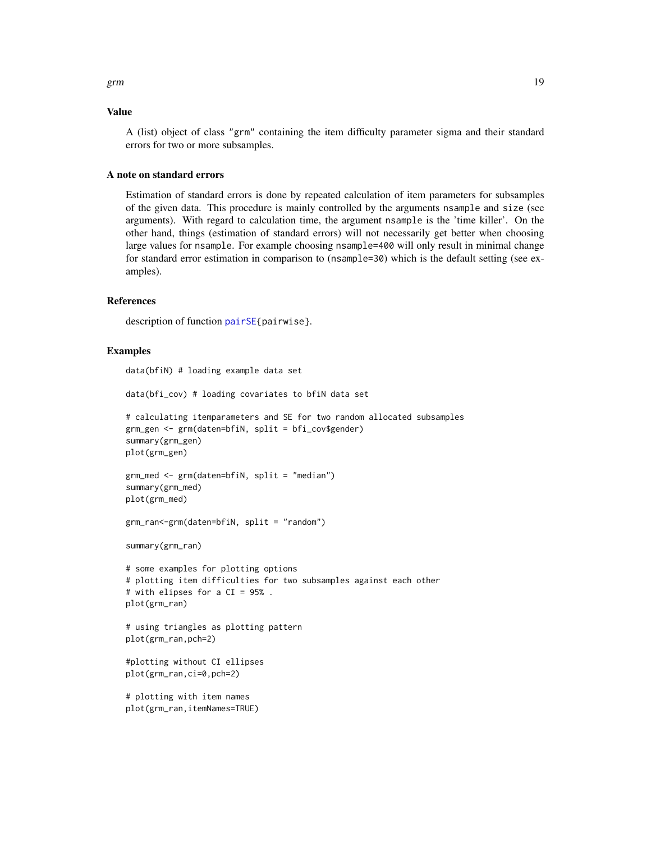#### <span id="page-18-0"></span>Value

A (list) object of class "grm" containing the item difficulty parameter sigma and their standard errors for two or more subsamples.

#### A note on standard errors

Estimation of standard errors is done by repeated calculation of item parameters for subsamples of the given data. This procedure is mainly controlled by the arguments nsample and size (see arguments). With regard to calculation time, the argument nsample is the 'time killer'. On the other hand, things (estimation of standard errors) will not necessarily get better when choosing large values for nsample. For example choosing nsample=400 will only result in minimal change for standard error estimation in comparison to (nsample=30) which is the default setting (see examples).

#### **References**

description of function [pairSE{](#page-26-1)pairwise}.

#### Examples

data(bfiN) # loading example data set

data(bfi\_cov) # loading covariates to bfiN data set # calculating itemparameters and SE for two random allocated subsamples grm\_gen <- grm(daten=bfiN, split = bfi\_cov\$gender) summary(grm\_gen) plot(grm\_gen)

```
grm_med <- grm(daten=bfiN, split = "median")
summary(grm_med)
plot(grm_med)
```

```
grm_ran<-grm(daten=bfiN, split = "random")
```
summary(grm\_ran)

```
# some examples for plotting options
# plotting item difficulties for two subsamples against each other
# with elipses for a CI = 95% .
plot(grm_ran)
```

```
# using triangles as plotting pattern
plot(grm_ran,pch=2)
```

```
#plotting without CI ellipses
plot(grm_ran,ci=0,pch=2)
```

```
# plotting with item names
plot(grm_ran,itemNames=TRUE)
```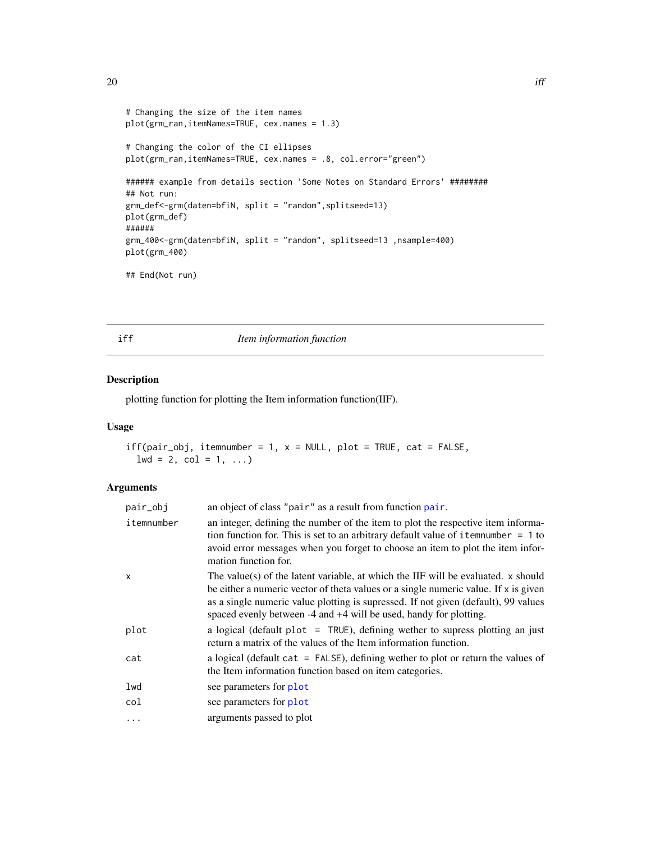```
# Changing the size of the item names
plot(grm_ran,itemNames=TRUE, cex.names = 1.3)
# Changing the color of the CI ellipses
plot(grm_ran,itemNames=TRUE, cex.names = .8, col.error="green")
###### example from details section 'Some Notes on Standard Errors' ########
## Not run:
grm_def<-grm(daten=bfiN, split = "random",splitseed=13)
plot(grm_def)
######
grm_400<-grm(daten=bfiN, split = "random", splitseed=13 ,nsample=400)
plot(grm_400)
## End(Not run)
```
<span id="page-19-1"></span>iff *Item information function*

# Description

plotting function for plotting the Item information function(IIF).

# Usage

```
iff(pair\_obj, itemnumber = 1, x = NULL, plot = TRUE, cat = FALSE,1wd = 2, col = 1, ...)
```

| pair_obj   | an object of class "pair" as a result from function pair.                                                                                                                                                                                                                                                                           |
|------------|-------------------------------------------------------------------------------------------------------------------------------------------------------------------------------------------------------------------------------------------------------------------------------------------------------------------------------------|
| itemnumber | an integer, defining the number of the item to plot the respective item informa-<br>tion function for. This is set to an arbitrary default value of item number $= 1$ to<br>avoid error messages when you forget to choose an item to plot the item infor-<br>mation function for.                                                  |
| x          | The value(s) of the latent variable, at which the IIF will be evaluated. x should<br>be either a numeric vector of theta values or a single numeric value. If x is given<br>as a single numeric value plotting is supressed. If not given (default), 99 values<br>spaced evenly between -4 and +4 will be used, handy for plotting. |
| plot       | a logical (default plot $=$ TRUE), defining wether to supress plotting an just<br>return a matrix of the values of the Item information function.                                                                                                                                                                                   |
| cat        | a logical (default cat $=$ FALSE), defining wether to plot or return the values of<br>the Item information function based on item categories.                                                                                                                                                                                       |
| lwd        | see parameters for plot                                                                                                                                                                                                                                                                                                             |
| col        | see parameters for plot                                                                                                                                                                                                                                                                                                             |
| $\cdots$   | arguments passed to plot                                                                                                                                                                                                                                                                                                            |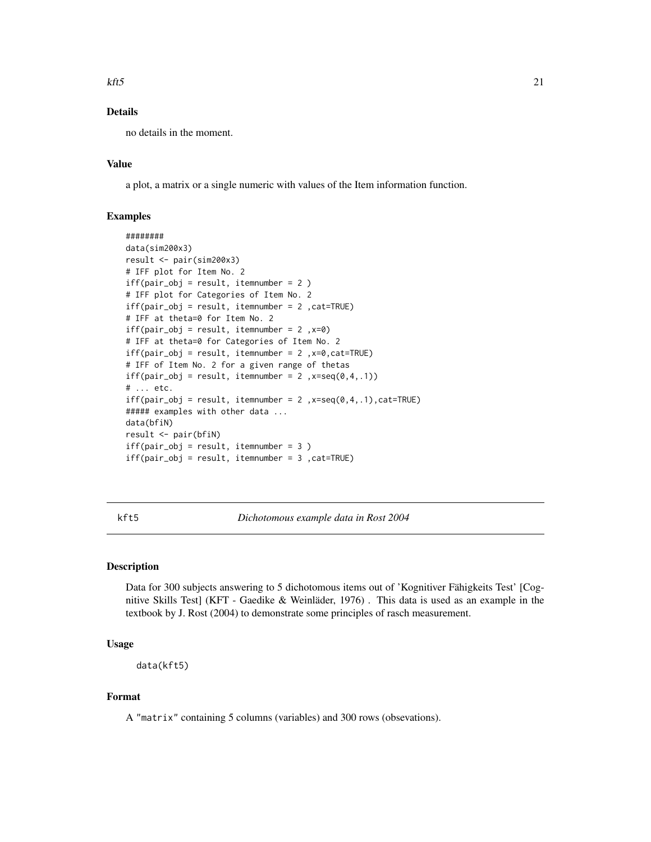#### <span id="page-20-0"></span> $kft5$  21

# Details

no details in the moment.

# Value

a plot, a matrix or a single numeric with values of the Item information function.

# Examples

```
########
data(sim200x3)
result <- pair(sim200x3)
# IFF plot for Item No. 2
iff(pair\_obj = result, itemnumber = 2)# IFF plot for Categories of Item No. 2
iff(pair_obj = result, itemnumber = 2 ,cat=TRUE)
# IFF at theta=0 for Item No. 2
iff(pair\_obj = result, itemnumber = 2, x=0)# IFF at theta=0 for Categories of Item No. 2
iff(pair\_obj = result, itemnumber = 2, x=0, cat=True)# IFF of Item No. 2 for a given range of thetas
iff(pair\_obj = result, itemnumber = 2, x=seq(0, 4, .1))# ... etc.
iff(pair\_obj = result, itemnumber = 2, x=seq(0,4,.1), cat=TRUE)##### examples with other data ...
data(bfiN)
result <- pair(bfiN)
iff(pair\_obj = result, itemnumber = 3)iff(pair\_obj = result, itemnumber = 3, cat=True)
```
kft5 *Dichotomous example data in Rost 2004*

# **Description**

Data for 300 subjects answering to 5 dichotomous items out of 'Kognitiver Fähigkeits Test' [Cognitive Skills Test] (KFT - Gaedike & Weinläder, 1976) . This data is used as an example in the textbook by J. Rost (2004) to demonstrate some principles of rasch measurement.

### Usage

```
data(kft5)
```
# Format

A "matrix" containing 5 columns (variables) and 300 rows (obsevations).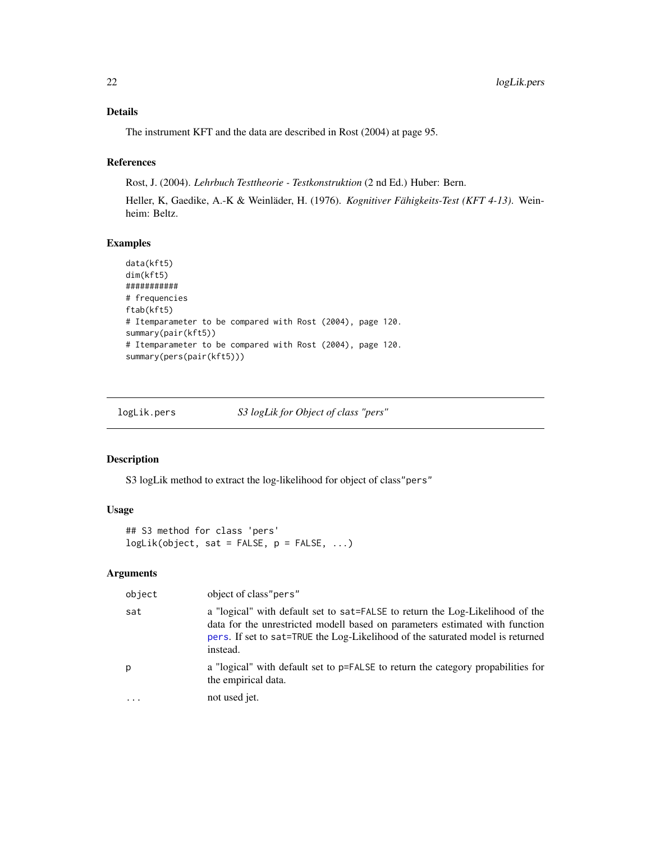<span id="page-21-0"></span>The instrument KFT and the data are described in Rost (2004) at page 95.

#### References

Rost, J. (2004). *Lehrbuch Testtheorie - Testkonstruktion* (2 nd Ed.) Huber: Bern.

Heller, K, Gaedike, A.-K & Weinläder, H. (1976). *Kognitiver Fähigkeits-Test (KFT 4-13)*. Weinheim: Beltz.

# Examples

```
data(kft5)
dim(kft5)
###########
# frequencies
ftab(kft5)
# Itemparameter to be compared with Rost (2004), page 120.
summary(pair(kft5))
# Itemparameter to be compared with Rost (2004), page 120.
summary(pers(pair(kft5)))
```
logLik.pers *S3 logLik for Object of class "pers"*

# Description

S3 logLik method to extract the log-likelihood for object of class"pers"

#### Usage

```
## S3 method for class 'pers'
logLik(object, sat = FALSE, p = FALSE, ...)
```

| object | object of class" pers"                                                                                                                                                                                                                                      |
|--------|-------------------------------------------------------------------------------------------------------------------------------------------------------------------------------------------------------------------------------------------------------------|
| sat    | a "logical" with default set to sat=FALSE to return the Log-Likelihood of the<br>data for the unrestricted modell based on parameters estimated with function<br>pers. If set to sat=TRUE the Log-Likelihood of the saturated model is returned<br>instead. |
| р      | a "logical" with default set to p=FALSE to return the category propabilities for<br>the empirical data.                                                                                                                                                     |
| .      | not used jet.                                                                                                                                                                                                                                               |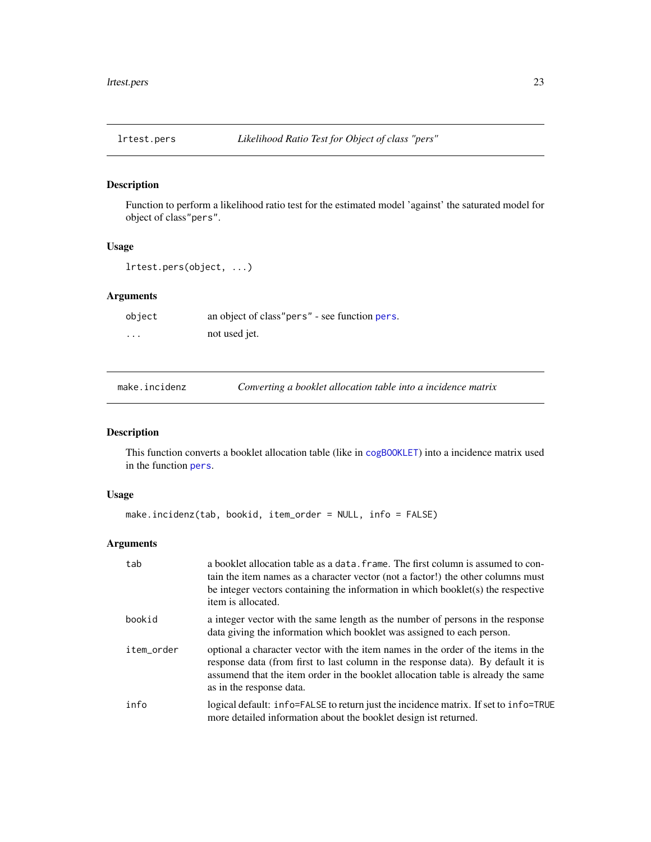<span id="page-22-0"></span>

Function to perform a likelihood ratio test for the estimated model 'against' the saturated model for object of class"pers".

# Usage

lrtest.pers(object, ...)

# Arguments

| object   | an object of class" pers" - see function pers. |
|----------|------------------------------------------------|
| $\cdots$ | not used jet.                                  |

<span id="page-22-1"></span>make.incidenz *Converting a booklet allocation table into a incidence matrix*

# Description

This function converts a booklet allocation table (like in [cogBOOKLET](#page-11-1)) into a incidence matrix used in the function [pers](#page-33-1).

# Usage

```
make.incidenz(tab, bookid, item_order = NULL, info = FALSE)
```

| tab        | a booklet allocation table as a data. frame. The first column is assumed to con-<br>tain the item names as a character vector (not a factor!) the other columns must<br>be integer vectors containing the information in which booklet(s) the respective<br>item is allocated.       |
|------------|--------------------------------------------------------------------------------------------------------------------------------------------------------------------------------------------------------------------------------------------------------------------------------------|
| bookid     | a integer vector with the same length as the number of persons in the response<br>data giving the information which booklet was assigned to each person.                                                                                                                             |
| item order | optional a character vector with the item names in the order of the items in the<br>response data (from first to last column in the response data). By default it is<br>assumend that the item order in the booklet allocation table is already the same<br>as in the response data. |
| info       | logical default: info=FALSE to return just the incidence matrix. If set to info=TRUE<br>more detailed information about the booklet design ist returned.                                                                                                                             |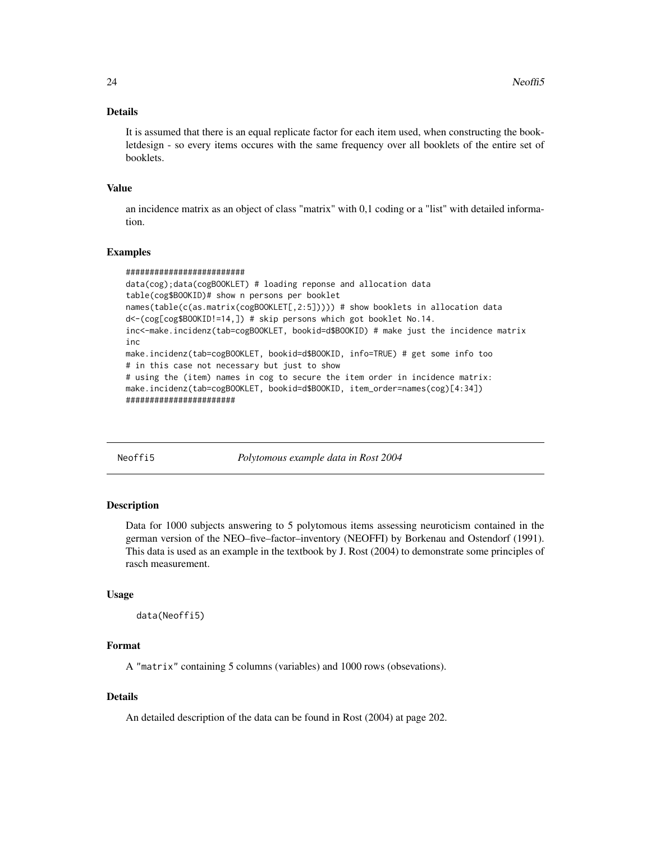<span id="page-23-0"></span>It is assumed that there is an equal replicate factor for each item used, when constructing the bookletdesign - so every items occures with the same frequency over all booklets of the entire set of booklets.

## Value

an incidence matrix as an object of class "matrix" with 0,1 coding or a "list" with detailed information.

#### Examples

```
#########################
data(cog);data(cogBOOKLET) # loading reponse and allocation data
table(cog$BOOKID)# show n persons per booklet
names(table(c(as.matrix(cogBOOKLET[,2:5])))) # show booklets in allocation data
d<-(cog[cog$BOOKID!=14,]) # skip persons which got booklet No.14.
inc<-make.incidenz(tab=cogBOOKLET, bookid=d$BOOKID) # make just the incidence matrix
inc
make.incidenz(tab=cogBOOKLET, bookid=d$BOOKID, info=TRUE) # get some info too
# in this case not necessary but just to show
# using the (item) names in cog to secure the item order in incidence matrix:
make.incidenz(tab=cogBOOKLET, bookid=d$BOOKID, item_order=names(cog)[4:34])
#######################
```
Neoffi5 *Polytomous example data in Rost 2004*

#### **Description**

Data for 1000 subjects answering to 5 polytomous items assessing neuroticism contained in the german version of the NEO–five–factor–inventory (NEOFFI) by Borkenau and Ostendorf (1991). This data is used as an example in the textbook by J. Rost (2004) to demonstrate some principles of rasch measurement.

#### Usage

```
data(Neoffi5)
```
#### Format

A "matrix" containing 5 columns (variables) and 1000 rows (obsevations).

### Details

An detailed description of the data can be found in Rost (2004) at page 202.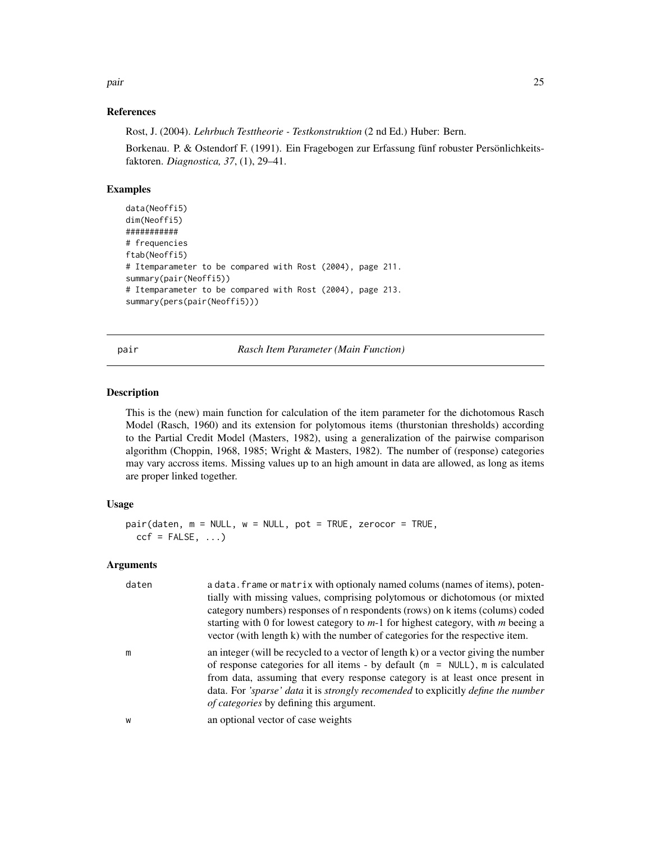<span id="page-24-0"></span>pair the contract of the contract of the contract of the contract of the contract of the contract of the contract of the contract of the contract of the contract of the contract of the contract of the contract of the contr

#### References

Rost, J. (2004). *Lehrbuch Testtheorie - Testkonstruktion* (2 nd Ed.) Huber: Bern.

Borkenau. P. & Ostendorf F. (1991). Ein Fragebogen zur Erfassung fünf robuster Persönlichkeitsfaktoren. *Diagnostica, 37*, (1), 29–41.

#### Examples

```
data(Neoffi5)
dim(Neoffi5)
###########
# frequencies
ftab(Neoffi5)
# Itemparameter to be compared with Rost (2004), page 211.
summary(pair(Neoffi5))
# Itemparameter to be compared with Rost (2004), page 213.
summary(pers(pair(Neoffi5)))
```
<span id="page-24-1"></span>pair *Rasch Item Parameter (Main Function)*

#### **Description**

This is the (new) main function for calculation of the item parameter for the dichotomous Rasch Model (Rasch, 1960) and its extension for polytomous items (thurstonian thresholds) according to the Partial Credit Model (Masters, 1982), using a generalization of the pairwise comparison algorithm (Choppin, 1968, 1985; Wright & Masters, 1982). The number of (response) categories may vary accross items. Missing values up to an high amount in data are allowed, as long as items are proper linked together.

#### Usage

```
pair(daten, m = NULL, w = NULL, pot = TRUE, zerocor = TRUE,
  ccf = FALSE, ...)
```

| daten | a data. frame or matrix with optionaly named colums (names of items), poten-<br>tially with missing values, comprising polytomous or dichotomous (or mixted<br>category numbers) responses of n respondents (rows) on k items (colums) coded<br>starting with 0 for lowest category to $m-1$ for highest category, with m beeing a<br>vector (with length k) with the number of categories for the respective item. |
|-------|---------------------------------------------------------------------------------------------------------------------------------------------------------------------------------------------------------------------------------------------------------------------------------------------------------------------------------------------------------------------------------------------------------------------|
| m     | an integer (will be recycled to a vector of length k) or a vector giving the number<br>of response categories for all items - by default ( $m = NULL$ ), m is calculated<br>from data, assuming that every response category is at least once present in<br>data. For 'sparse' data it is strongly recomended to explicitly define the number<br>of categories by defining this argument.                           |
| W     | an optional vector of case weights                                                                                                                                                                                                                                                                                                                                                                                  |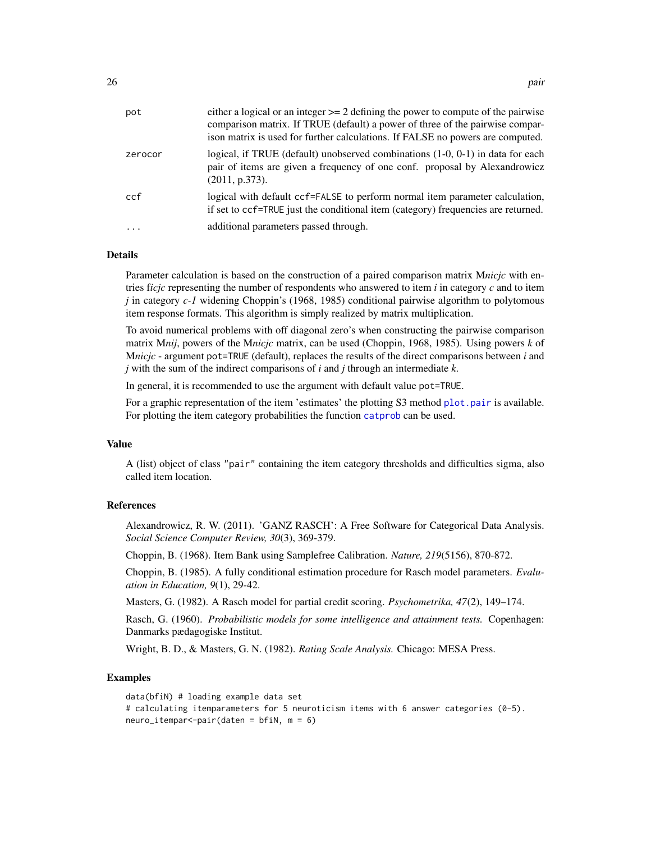<span id="page-25-0"></span>

| zerocor<br>(2011, p.373).<br>ccf<br>additional parameters passed through.<br>$\cdots$ | pot | either a logical or an integer $\geq$ 2 defining the power to compute of the pairwise<br>comparison matrix. If TRUE (default) a power of three of the pairwise compar-<br>ison matrix is used for further calculations. If FALSE no powers are computed. |
|---------------------------------------------------------------------------------------|-----|----------------------------------------------------------------------------------------------------------------------------------------------------------------------------------------------------------------------------------------------------------|
|                                                                                       |     | logical, if TRUE (default) unobserved combinations $(1-0, 0-1)$ in data for each<br>pair of items are given a frequency of one conf. proposal by Alexandrowicz                                                                                           |
|                                                                                       |     | logical with default ccf=FALSE to perform normal item parameter calculation,<br>if set to ccf=TRUE just the conditional item (category) frequencies are returned.                                                                                        |
|                                                                                       |     |                                                                                                                                                                                                                                                          |

Parameter calculation is based on the construction of a paired comparison matrix M*nicjc* with entries f*icjc* representing the number of respondents who answered to item *i* in category *c* and to item *j* in category *c-1* widening Choppin's (1968, 1985) conditional pairwise algorithm to polytomous item response formats. This algorithm is simply realized by matrix multiplication.

To avoid numerical problems with off diagonal zero's when constructing the pairwise comparison matrix M*nij*, powers of the M*nicjc* matrix, can be used (Choppin, 1968, 1985). Using powers *k* of M*nicjc* - argument pot=TRUE (default), replaces the results of the direct comparisons between *i* and *j* with the sum of the indirect comparisons of *i* and *j* through an intermediate *k*.

In general, it is recommended to use the argument with default value pot=TRUE.

For a graphic representation of the item 'estimates' the plotting S3 method [plot.pair](#page-36-1) is available. For plotting the item category probabilities the function [catprob](#page-9-1) can be used.

# Value

A (list) object of class "pair" containing the item category thresholds and difficulties sigma, also called item location.

#### References

Alexandrowicz, R. W. (2011). 'GANZ RASCH': A Free Software for Categorical Data Analysis. *Social Science Computer Review, 30*(3), 369-379.

Choppin, B. (1968). Item Bank using Samplefree Calibration. *Nature, 219*(5156), 870-872.

Choppin, B. (1985). A fully conditional estimation procedure for Rasch model parameters. *Evaluation in Education, 9*(1), 29-42.

Masters, G. (1982). A Rasch model for partial credit scoring. *Psychometrika, 47*(2), 149–174.

Rasch, G. (1960). *Probabilistic models for some intelligence and attainment tests.* Copenhagen: Danmarks pædagogiske Institut.

Wright, B. D., & Masters, G. N. (1982). *Rating Scale Analysis.* Chicago: MESA Press.

```
data(bfiN) # loading example data set
# calculating itemparameters for 5 neuroticism items with 6 answer categories (0-5).
neuro_itempar<-pair(daten = bfiN, m = 6)
```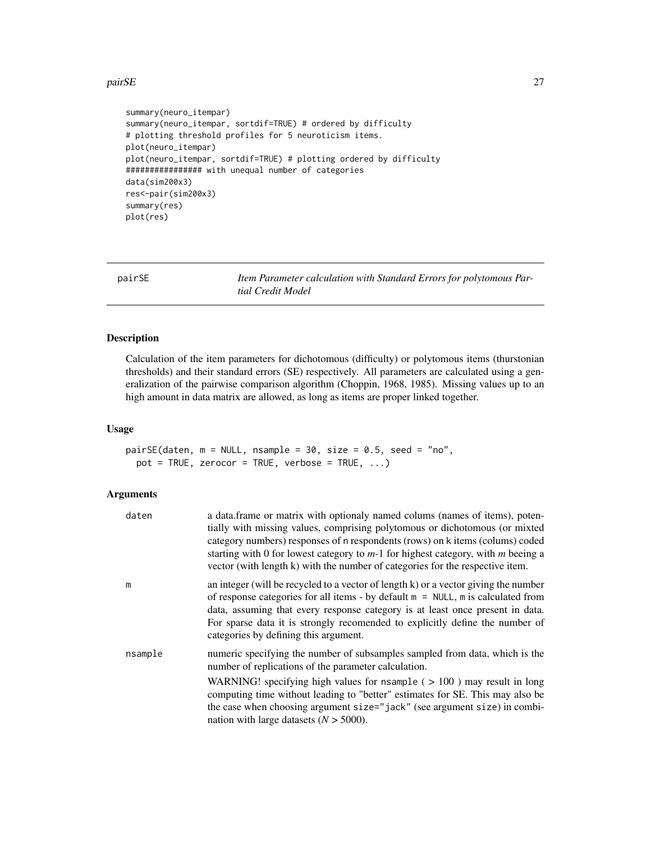#### <span id="page-26-0"></span>pairSE 27

```
summary(neuro_itempar)
summary(neuro_itempar, sortdif=TRUE) # ordered by difficulty
# plotting threshold profiles for 5 neuroticism items.
plot(neuro_itempar)
plot(neuro_itempar, sortdif=TRUE) # plotting ordered by difficulty
################ with unequal number of categories
data(sim200x3)
res<-pair(sim200x3)
summary(res)
plot(res)
```
<span id="page-26-1"></span>pairSE *Item Parameter calculation with Standard Errors for polytomous Partial Credit Model*

#### Description

Calculation of the item parameters for dichotomous (difficulty) or polytomous items (thurstonian thresholds) and their standard errors (SE) respectively. All parameters are calculated using a generalization of the pairwise comparison algorithm (Choppin, 1968, 1985). Missing values up to an high amount in data matrix are allowed, as long as items are proper linked together.

#### Usage

pairSE(daten, m = NULL, nsample = 30, size = 0.5, seed = "no", pot = TRUE, zerocor = TRUE, verbose = TRUE,  $\ldots$ )

| daten   | a data frame or matrix with optionaly named colums (names of items), poten-<br>tially with missing values, comprising polytomous or dichotomous (or mixted<br>category numbers) responses of n respondents (rows) on k items (colums) coded<br>starting with 0 for lowest category to $m-1$ for highest category, with $m$ beeing a<br>vector (with length k) with the number of categories for the respective item. |
|---------|----------------------------------------------------------------------------------------------------------------------------------------------------------------------------------------------------------------------------------------------------------------------------------------------------------------------------------------------------------------------------------------------------------------------|
| m       | an integer (will be recycled to a vector of length k) or a vector giving the number<br>of response categories for all items - by default $m = NULL$ , m is calculated from<br>data, assuming that every response category is at least once present in data.<br>For sparse data it is strongly recomended to explicitly define the number of<br>categories by defining this argument.                                 |
| nsample | numeric specifying the number of subsamples sampled from data, which is the<br>number of replications of the parameter calculation.                                                                                                                                                                                                                                                                                  |
|         | WARNING! specifying high values for nsample ( $> 100$ ) may result in long<br>computing time without leading to "better" estimates for SE. This may also be<br>the case when choosing argument size="jack" (see argument size) in combi-<br>nation with large datasets $(N > 5000)$ .                                                                                                                                |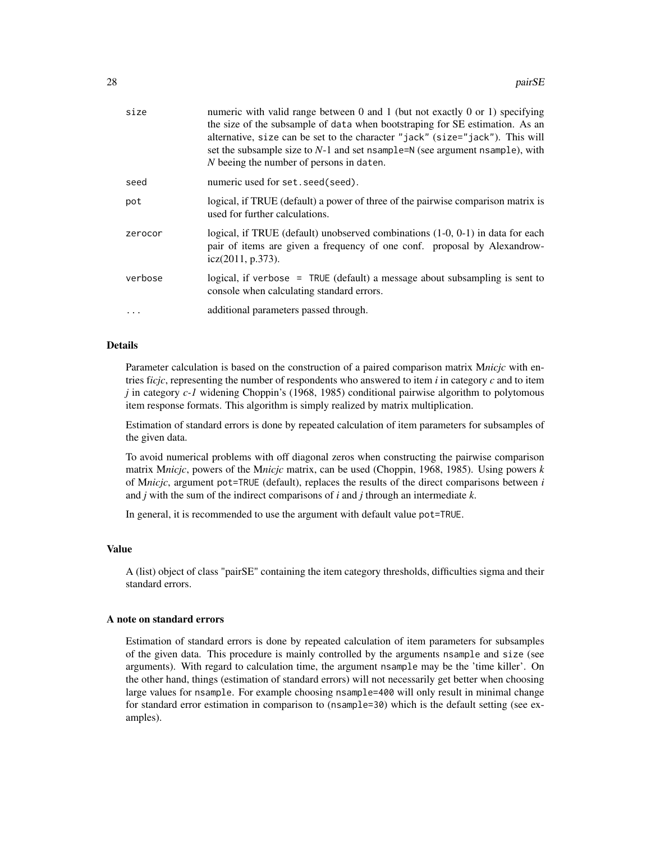| size    | numeric with valid range between 0 and 1 (but not exactly 0 or 1) specifying<br>the size of the subsample of data when bootstraping for SE estimation. As an<br>alternative, size can be set to the character "jack" (size="jack"). This will<br>set the subsample size to $N-1$ and set nsample= $N$ (see argument nsample), with<br>N beeing the number of persons in daten. |
|---------|--------------------------------------------------------------------------------------------------------------------------------------------------------------------------------------------------------------------------------------------------------------------------------------------------------------------------------------------------------------------------------|
| seed    | numeric used for set. seed (seed).                                                                                                                                                                                                                                                                                                                                             |
| pot     | logical, if TRUE (default) a power of three of the pairwise comparison matrix is<br>used for further calculations.                                                                                                                                                                                                                                                             |
| zerocor | logical, if TRUE (default) unobserved combinations (1-0, 0-1) in data for each<br>pair of items are given a frequency of one conf. proposal by Alexandrow-<br>icz(2011, p.373).                                                                                                                                                                                                |
| verbose | logical, if verbose = $TRUE$ (default) a message about subsampling is sent to<br>console when calculating standard errors.                                                                                                                                                                                                                                                     |
|         | additional parameters passed through.                                                                                                                                                                                                                                                                                                                                          |
|         |                                                                                                                                                                                                                                                                                                                                                                                |

Parameter calculation is based on the construction of a paired comparison matrix M*nicjc* with entries f*icjc*, representing the number of respondents who answered to item *i* in category *c* and to item *j* in category *c-1* widening Choppin's (1968, 1985) conditional pairwise algorithm to polytomous item response formats. This algorithm is simply realized by matrix multiplication.

Estimation of standard errors is done by repeated calculation of item parameters for subsamples of the given data.

To avoid numerical problems with off diagonal zeros when constructing the pairwise comparison matrix M*nicjc*, powers of the M*nicjc* matrix, can be used (Choppin, 1968, 1985). Using powers *k* of M*nicjc*, argument pot=TRUE (default), replaces the results of the direct comparisons between *i* and *j* with the sum of the indirect comparisons of *i* and *j* through an intermediate *k*.

In general, it is recommended to use the argument with default value pot=TRUE.

#### Value

A (list) object of class "pairSE" containing the item category thresholds, difficulties sigma and their standard errors.

#### A note on standard errors

Estimation of standard errors is done by repeated calculation of item parameters for subsamples of the given data. This procedure is mainly controlled by the arguments nsample and size (see arguments). With regard to calculation time, the argument nsample may be the 'time killer'. On the other hand, things (estimation of standard errors) will not necessarily get better when choosing large values for nsample. For example choosing nsample=400 will only result in minimal change for standard error estimation in comparison to (nsample=30) which is the default setting (see examples).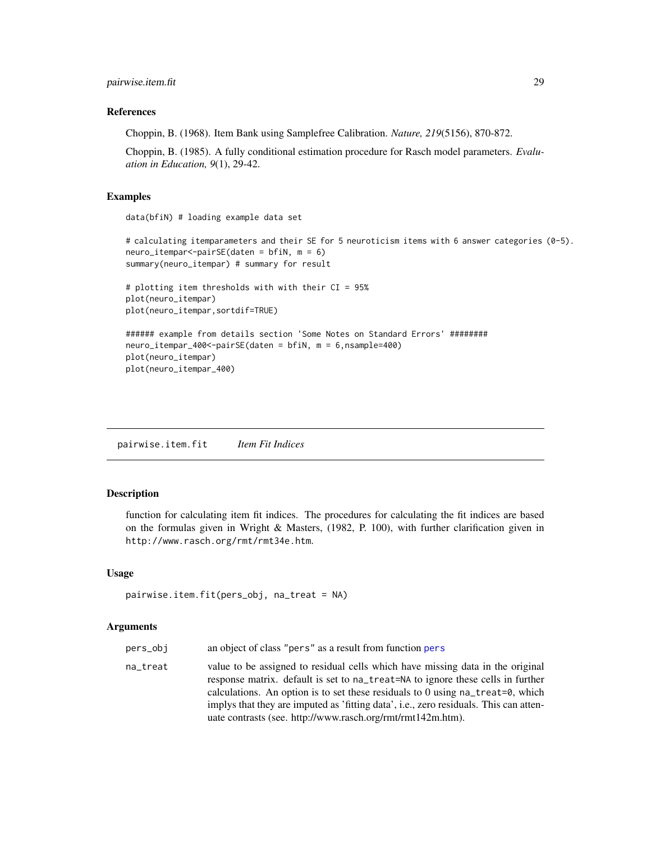#### <span id="page-28-0"></span>References

Choppin, B. (1968). Item Bank using Samplefree Calibration. *Nature, 219*(5156), 870-872.

Choppin, B. (1985). A fully conditional estimation procedure for Rasch model parameters. *Evaluation in Education, 9*(1), 29-42.

#### Examples

data(bfiN) # loading example data set

```
# calculating itemparameters and their SE for 5 neuroticism items with 6 answer categories (0-5).
neuro_itempar<-pairSE(daten = bfiN, m = 6)
summary(neuro_itempar) # summary for result
# plotting item thresholds with with their CI = 95%
plot(neuro_itempar)
plot(neuro_itempar,sortdif=TRUE)
###### example from details section 'Some Notes on Standard Errors' ########
```

```
neuro_itempar_400<-pairSE(daten = bfiN, m = 6,nsample=400)
plot(neuro_itempar)
plot(neuro_itempar_400)
```
<span id="page-28-1"></span>pairwise.item.fit *Item Fit Indices*

#### Description

function for calculating item fit indices. The procedures for calculating the fit indices are based on the formulas given in Wright & Masters, (1982, P. 100), with further clarification given in http://www.rasch.org/rmt/rmt34e.htm.

#### Usage

```
pairwise.item.fit(pers_obj, na_treat = NA)
```
- pers\_obj an object of class "pers" as a result from function [pers](#page-33-1)
- na\_treat value to be assigned to residual cells which have missing data in the original response matrix. default is set to na\_treat=NA to ignore these cells in further calculations. An option is to set these residuals to 0 using na\_treat=0, which implys that they are imputed as 'fitting data', i.e., zero residuals. This can attenuate contrasts (see. http://www.rasch.org/rmt/rmt142m.htm).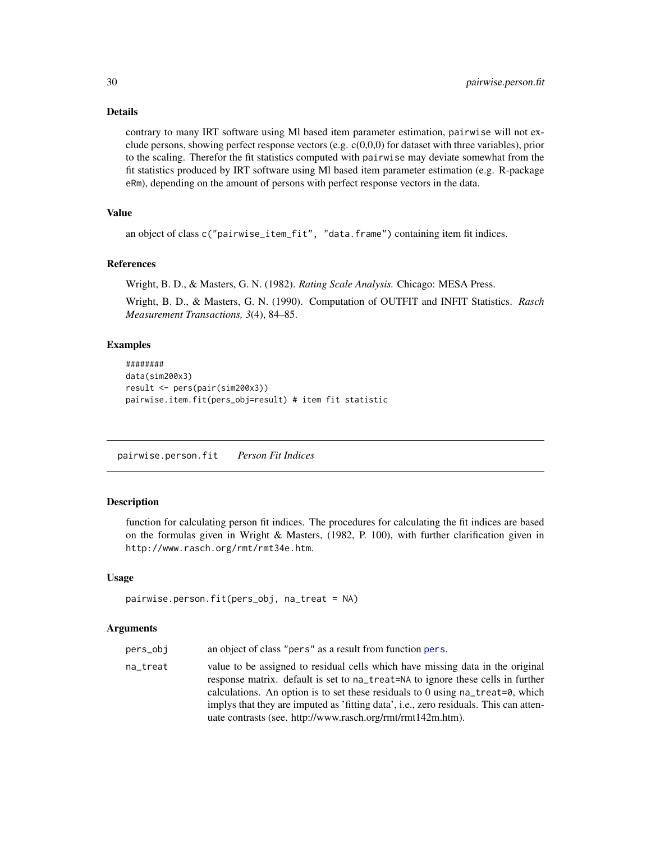contrary to many IRT software using Ml based item parameter estimation, pairwise will not exclude persons, showing perfect response vectors (e.g. c(0,0,0) for dataset with three variables), prior to the scaling. Therefor the fit statistics computed with pairwise may deviate somewhat from the fit statistics produced by IRT software using Ml based item parameter estimation (e.g. R-package eRm), depending on the amount of persons with perfect response vectors in the data.

# Value

an object of class c("pairwise\_item\_fit", "data.frame") containing item fit indices.

#### References

Wright, B. D., & Masters, G. N. (1982). *Rating Scale Analysis.* Chicago: MESA Press.

Wright, B. D., & Masters, G. N. (1990). Computation of OUTFIT and INFIT Statistics. *Rasch Measurement Transactions, 3*(4), 84–85.

#### Examples

```
########
data(sim200x3)
result <- pers(pair(sim200x3))
pairwise.item.fit(pers_obj=result) # item fit statistic
```
<span id="page-29-1"></span>pairwise.person.fit *Person Fit Indices*

# **Description**

function for calculating person fit indices. The procedures for calculating the fit indices are based on the formulas given in Wright & Masters, (1982, P. 100), with further clarification given in http://www.rasch.org/rmt/rmt34e.htm.

### Usage

```
pairwise.person.fit(pers_obj, na_treat = NA)
```
- pers\_obj an object of class "pers" as a result from function [pers](#page-33-1).
- na\_treat value to be assigned to residual cells which have missing data in the original response matrix. default is set to na\_treat=NA to ignore these cells in further calculations. An option is to set these residuals to 0 using na\_treat=0, which implys that they are imputed as 'fitting data', i.e., zero residuals. This can attenuate contrasts (see. http://www.rasch.org/rmt/rmt142m.htm).

<span id="page-29-0"></span>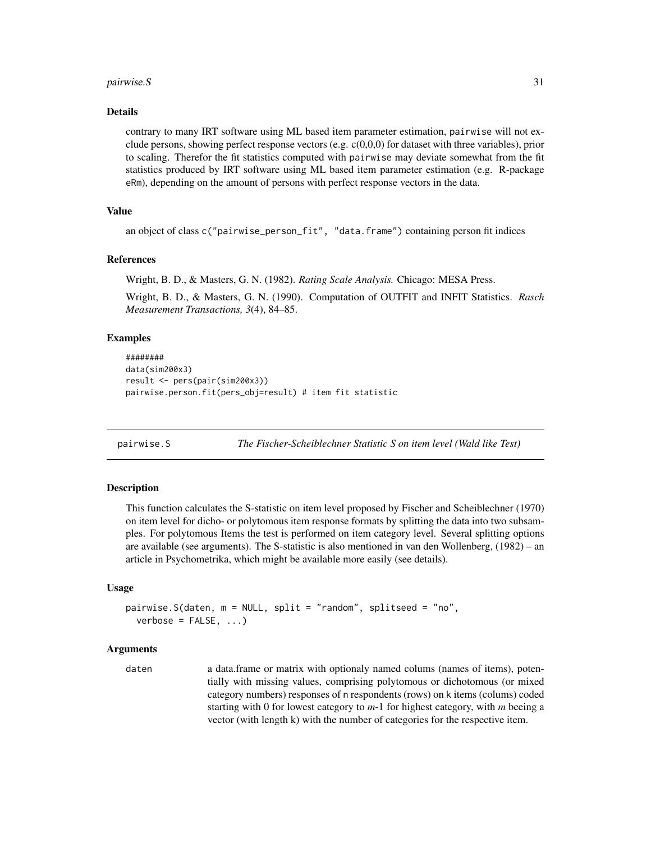#### <span id="page-30-0"></span> $pairwise.S$  31

#### Details

contrary to many IRT software using ML based item parameter estimation, pairwise will not exclude persons, showing perfect response vectors (e.g.  $c(0,0,0)$  for dataset with three variables), prior to scaling. Therefor the fit statistics computed with pairwise may deviate somewhat from the fit statistics produced by IRT software using ML based item parameter estimation (e.g. R-package eRm), depending on the amount of persons with perfect response vectors in the data.

# Value

```
an object of class c("pairwise_person_fit", "data.frame") containing person fit indices
```
#### References

Wright, B. D., & Masters, G. N. (1982). *Rating Scale Analysis.* Chicago: MESA Press.

Wright, B. D., & Masters, G. N. (1990). Computation of OUTFIT and INFIT Statistics. *Rasch Measurement Transactions, 3*(4), 84–85.

#### Examples

```
########
data(sim200x3)
result <- pers(pair(sim200x3))
pairwise.person.fit(pers_obj=result) # item fit statistic
```
pairwise.S *The Fischer-Scheiblechner Statistic S on item level (Wald like Test)*

#### Description

This function calculates the S-statistic on item level proposed by Fischer and Scheiblechner (1970) on item level for dicho- or polytomous item response formats by splitting the data into two subsamples. For polytomous Items the test is performed on item category level. Several splitting options are available (see arguments). The S-statistic is also mentioned in van den Wollenberg, (1982) – an article in Psychometrika, which might be available more easily (see details).

#### Usage

```
pairwise.S(daten, m = NULL, split = "random", splitseed = "no",
 verbose = FALSE, ...
```

```
daten a data.frame or matrix with optionaly named colums (names of items), poten-
                  tially with missing values, comprising polytomous or dichotomous (or mixed
                  category numbers) responses of n respondents (rows) on k items (colums) coded
                  starting with 0 for lowest category to m-1 for highest category, with m beeing a
                  vector (with length k) with the number of categories for the respective item.
```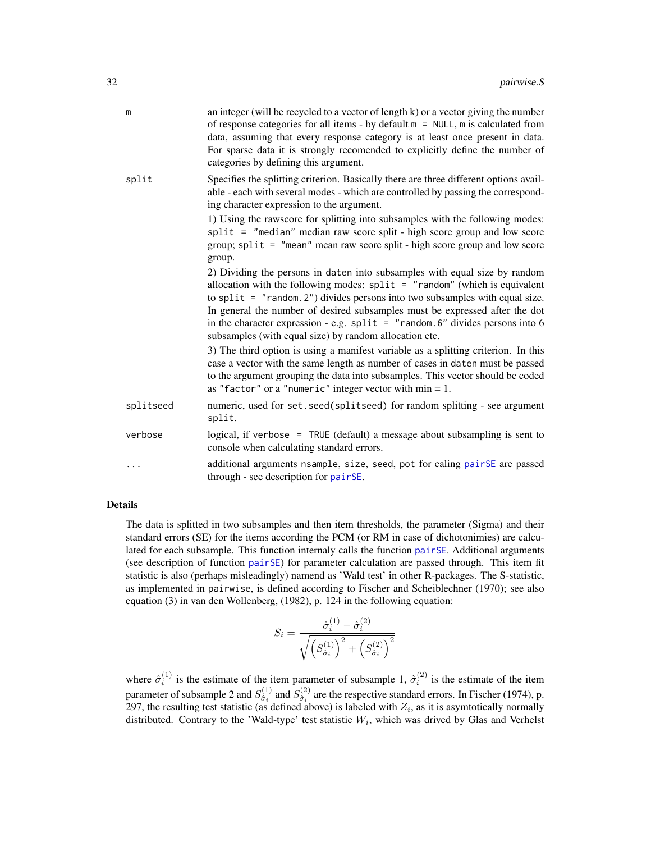<span id="page-31-0"></span>

| m         | an integer (will be recycled to a vector of length k) or a vector giving the number<br>of response categories for all items - by default $m = NULL$ , m is calculated from<br>data, assuming that every response category is at least once present in data.<br>For sparse data it is strongly recomended to explicitly define the number of<br>categories by defining this argument.                                                                                     |
|-----------|--------------------------------------------------------------------------------------------------------------------------------------------------------------------------------------------------------------------------------------------------------------------------------------------------------------------------------------------------------------------------------------------------------------------------------------------------------------------------|
| split     | Specifies the splitting criterion. Basically there are three different options avail-<br>able - each with several modes - which are controlled by passing the correspond-<br>ing character expression to the argument.                                                                                                                                                                                                                                                   |
|           | 1) Using the rawscore for splitting into subsamples with the following modes:<br>split = "median" median raw score split - high score group and low score<br>group; split = "mean" mean raw score split - high score group and low score<br>group.                                                                                                                                                                                                                       |
|           | 2) Dividing the persons in daten into subsamples with equal size by random<br>allocation with the following modes: $split = "random"$ (which is equivalent<br>to split = $"$ random. 2") divides persons into two subsamples with equal size.<br>In general the number of desired subsamples must be expressed after the dot<br>in the character expression - e.g. $split = "random.6"$ divides persons into 6<br>subsamples (with equal size) by random allocation etc. |
|           | 3) The third option is using a manifest variable as a splitting criterion. In this<br>case a vector with the same length as number of cases in daten must be passed<br>to the argument grouping the data into subsamples. This vector should be coded<br>as "factor" or a "numeric" integer vector with $min = 1$ .                                                                                                                                                      |
| splitseed | numeric, used for set. seed(splitseed) for random splitting - see argument<br>split.                                                                                                                                                                                                                                                                                                                                                                                     |
| verbose   | logical, if verbose = TRUE (default) a message about subsampling is sent to<br>console when calculating standard errors.                                                                                                                                                                                                                                                                                                                                                 |
| .         | additional arguments nsample, size, seed, pot for caling pairSE are passed<br>through - see description for pairSE.                                                                                                                                                                                                                                                                                                                                                      |

The data is splitted in two subsamples and then item thresholds, the parameter (Sigma) and their standard errors (SE) for the items according the PCM (or RM in case of dichotonimies) are calculated for each subsample. This function internaly calls the function [pairSE](#page-26-1). Additional arguments (see description of function [pairSE](#page-26-1)) for parameter calculation are passed through. This item fit statistic is also (perhaps misleadingly) namend as 'Wald test' in other R-packages. The S-statistic, as implemented in pairwise, is defined according to Fischer and Scheiblechner (1970); see also equation (3) in van den Wollenberg, (1982), p. 124 in the following equation:

$$
S_i = \frac{\hat{\sigma}_i^{(1)} - \hat{\sigma}_i^{(2)}}{\sqrt{\left(S_{\hat{\sigma}_i}^{(1)}\right)^2 + \left(S_{\hat{\sigma}_i}^{(2)}\right)^2}}
$$

where  $\hat{\sigma}_i^{(1)}$  is the estimate of the item parameter of subsample 1,  $\hat{\sigma}_i^{(2)}$  is the estimate of the item parameter of subsample 2 and  $S_{\hat{\sigma}}^{(1)}$  $\hat{\sigma}_i^{(1)}$  and  $S_{\hat{\sigma}_i}^{(2)}$  $\hat{\sigma}_i^{(2)}$  are the respective standard errors. In Fischer (1974), p. 297, the resulting test statistic (as defined above) is labeled with  $Z_i$ , as it is asymtotically normally distributed. Contrary to the 'Wald-type' test statistic  $W_i$ , which was drived by Glas and Verhelst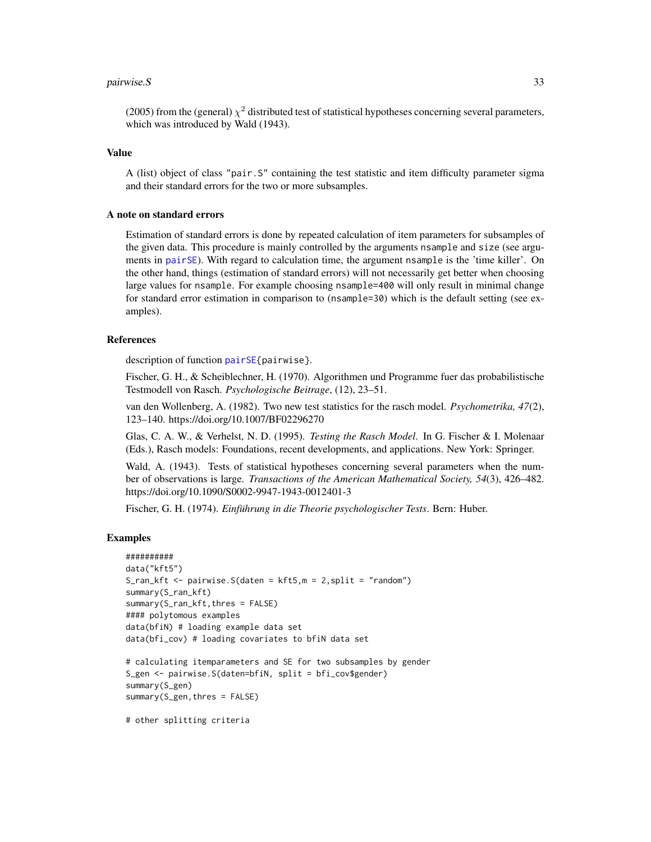#### <span id="page-32-0"></span>pairwise. S 33

(2005) from the (general)  $\chi^2$  distributed test of statistical hypotheses concerning several parameters, which was introduced by Wald (1943).

# Value

A (list) object of class "pair.S" containing the test statistic and item difficulty parameter sigma and their standard errors for the two or more subsamples.

#### A note on standard errors

Estimation of standard errors is done by repeated calculation of item parameters for subsamples of the given data. This procedure is mainly controlled by the arguments nsample and size (see arguments in [pairSE](#page-26-1)). With regard to calculation time, the argument nsample is the 'time killer'. On the other hand, things (estimation of standard errors) will not necessarily get better when choosing large values for nsample. For example choosing nsample=400 will only result in minimal change for standard error estimation in comparison to (nsample=30) which is the default setting (see examples).

#### References

description of function [pairSE{](#page-26-1)pairwise}.

Fischer, G. H., & Scheiblechner, H. (1970). Algorithmen und Programme fuer das probabilistische Testmodell von Rasch. *Psychologische Beitrage*, (12), 23–51.

van den Wollenberg, A. (1982). Two new test statistics for the rasch model. *Psychometrika, 47*(2), 123–140. https://doi.org/10.1007/BF02296270

Glas, C. A. W., & Verhelst, N. D. (1995). *Testing the Rasch Model*. In G. Fischer & I. Molenaar (Eds.), Rasch models: Foundations, recent developments, and applications. New York: Springer.

Wald, A. (1943). Tests of statistical hypotheses concerning several parameters when the number of observations is large. *Transactions of the American Mathematical Society, 54*(3), 426–482. https://doi.org/10.1090/S0002-9947-1943-0012401-3

Fischer, G. H. (1974). *Einführung in die Theorie psychologischer Tests*. Bern: Huber.

#### Examples

```
##########
data("kft5")
S_ran_kft \leq pairwise. S(daten = kft5, m = 2, split = "random")
summary(S_ran_kft)
summary(S_ran_kft,thres = FALSE)
#### polytomous examples
data(bfiN) # loading example data set
data(bfi_cov) # loading covariates to bfiN data set
# calculating itemparameters and SE for two subsamples by gender
S_gen <- pairwise.S(daten=bfiN, split = bfi_cov$gender)
summary(S_gen)
summary(S_gen,thres = FALSE)
```
# other splitting criteria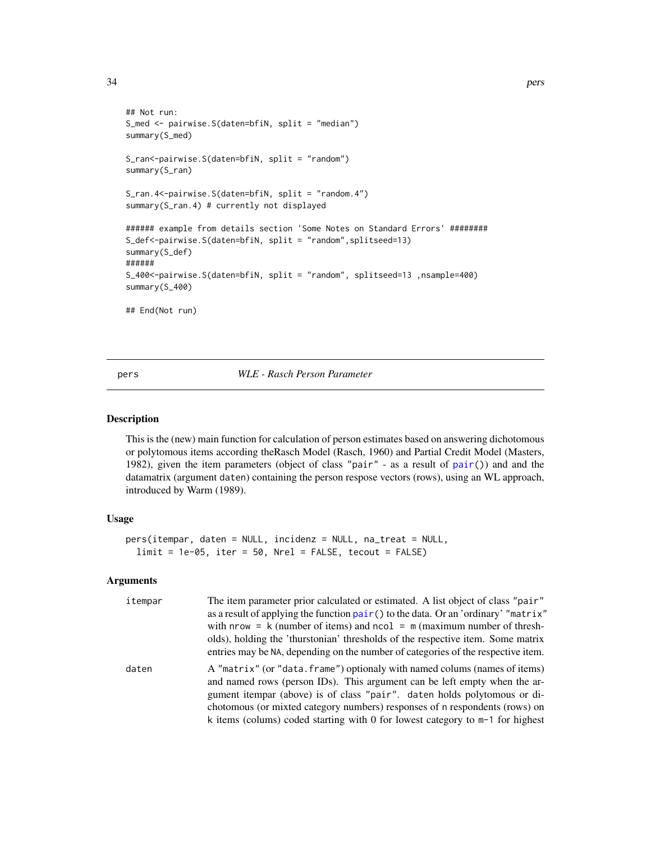```
## Not run:
S_med <- pairwise.S(daten=bfiN, split = "median")
summary(S_med)
S_ran<-pairwise.S(daten=bfiN, split = "random")
summary(S_ran)
S_ran.4<-pairwise.S(daten=bfiN, split = "random.4")
summary(S_ran.4) # currently not displayed
###### example from details section 'Some Notes on Standard Errors' ########
S_def<-pairwise.S(daten=bfiN, split = "random",splitseed=13)
summary(S_def)
######
S_400<-pairwise.S(daten=bfiN, split = "random", splitseed=13 ,nsample=400)
summary(S_400)
## End(Not run)
```
<span id="page-33-1"></span>pers *WLE - Rasch Person Parameter*

#### Description

This is the (new) main function for calculation of person estimates based on answering dichotomous or polytomous items according theRasch Model (Rasch, 1960) and Partial Credit Model (Masters, 1982), given the item parameters (object of class "pair" - as a result of  $pair()$  $pair()$  and and the datamatrix (argument daten) containing the person respose vectors (rows), using an WL approach, introduced by Warm (1989).

#### Usage

```
pers(itempar, daten = NULL, incidenz = NULL, na_treat = NULL,
  limit = 1e-05, iter = 50, Nrel = FALSE, tecourt = FALSE)
```

| itempar | The item parameter prior calculated or estimated. A list object of class "pair"<br>as a result of applying the function pair () to the data. Or an 'ordinary' "matrix"<br>with nrow = $k$ (number of items) and ncol = $m$ (maximum number of thresh-<br>olds), holding the 'thurstonian' thresholds of the respective item. Some matrix<br>entries may be NA, depending on the number of categories of the respective item. |
|---------|------------------------------------------------------------------------------------------------------------------------------------------------------------------------------------------------------------------------------------------------------------------------------------------------------------------------------------------------------------------------------------------------------------------------------|
| daten   | A "matrix" (or "data. frame") optionaly with named colums (names of items)<br>and named rows (person IDs). This argument can be left empty when the ar-<br>gument itempar (above) is of class "pair". daten holds polytomous or di-<br>chotomous (or mixted category numbers) responses of n respondents (rows) on<br>k items (colums) coded starting with 0 for lowest category to m-1 for highest                          |

<span id="page-33-0"></span>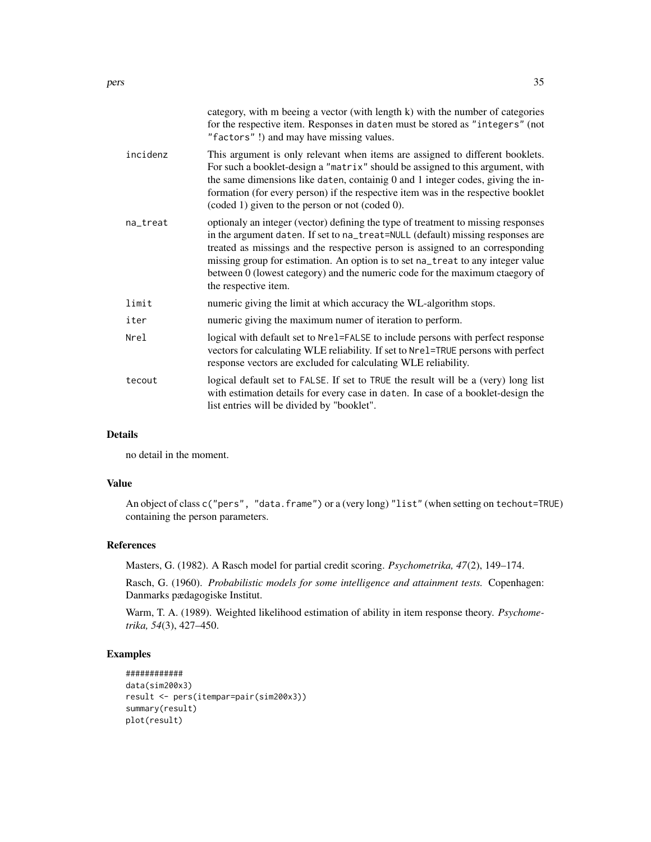|          | category, with m beeing a vector (with length k) with the number of categories<br>for the respective item. Responses in daten must be stored as "integers" (not<br>"factors"!) and may have missing values.                                                                                                                                                                                                                                     |
|----------|-------------------------------------------------------------------------------------------------------------------------------------------------------------------------------------------------------------------------------------------------------------------------------------------------------------------------------------------------------------------------------------------------------------------------------------------------|
| incidenz | This argument is only relevant when items are assigned to different booklets.<br>For such a booklet-design a "matrix" should be assigned to this argument, with<br>the same dimensions like daten, containig 0 and 1 integer codes, giving the in-<br>formation (for every person) if the respective item was in the respective booklet<br>(coded 1) given to the person or not (coded 0).                                                      |
| na_treat | optionaly an integer (vector) defining the type of treatment to missing responses<br>in the argument daten. If set to na_treat=NULL (default) missing responses are<br>treated as missings and the respective person is assigned to an corresponding<br>missing group for estimation. An option is to set na_treat to any integer value<br>between 0 (lowest category) and the numeric code for the maximum ctaegory of<br>the respective item. |
| limit    | numeric giving the limit at which accuracy the WL-algorithm stops.                                                                                                                                                                                                                                                                                                                                                                              |
| iter     | numeric giving the maximum numer of iteration to perform.                                                                                                                                                                                                                                                                                                                                                                                       |
| Nrel     | logical with default set to Nre1=FALSE to include persons with perfect response<br>vectors for calculating WLE reliability. If set to Nrel=TRUE persons with perfect<br>response vectors are excluded for calculating WLE reliability.                                                                                                                                                                                                          |
| tecout   | logical default set to FALSE. If set to TRUE the result will be a (very) long list<br>with estimation details for every case in daten. In case of a booklet-design the<br>list entries will be divided by "booklet".                                                                                                                                                                                                                            |
|          |                                                                                                                                                                                                                                                                                                                                                                                                                                                 |

no detail in the moment.

#### Value

An object of class c("pers", "data.frame") or a (very long) "list" (when setting on techout=TRUE) containing the person parameters.

# References

Masters, G. (1982). A Rasch model for partial credit scoring. *Psychometrika, 47*(2), 149–174.

Rasch, G. (1960). *Probabilistic models for some intelligence and attainment tests.* Copenhagen: Danmarks pædagogiske Institut.

Warm, T. A. (1989). Weighted likelihood estimation of ability in item response theory. *Psychometrika, 54*(3), 427–450.

```
############
data(sim200x3)
result <- pers(itempar=pair(sim200x3))
summary(result)
plot(result)
```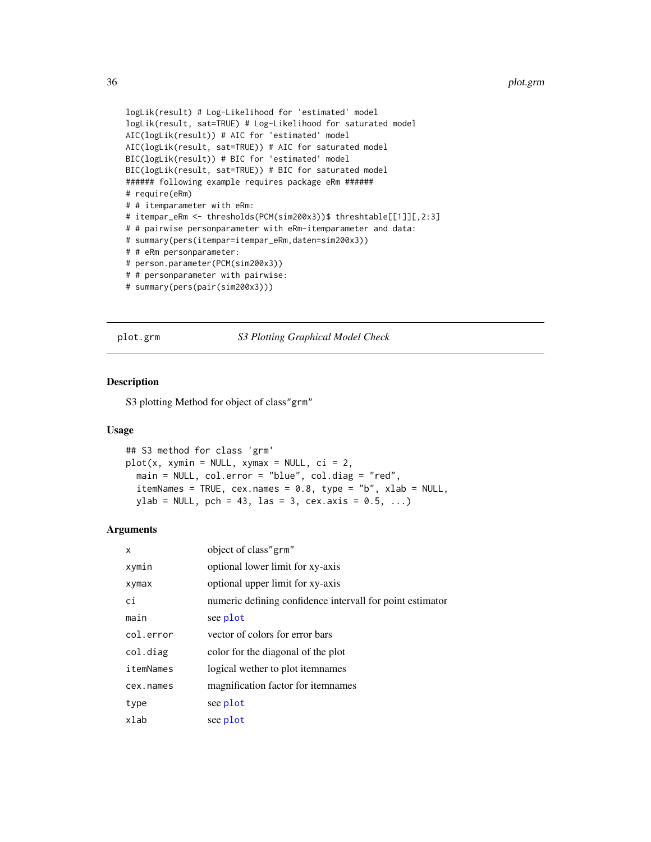```
logLik(result) # Log-Likelihood for 'estimated' model
logLik(result, sat=TRUE) # Log-Likelihood for saturated model
AIC(logLik(result)) # AIC for 'estimated' model
AIC(logLik(result, sat=TRUE)) # AIC for saturated model
BIC(logLik(result)) # BIC for 'estimated' model
BIC(logLik(result, sat=TRUE)) # BIC for saturated model
###### following example requires package eRm ######
# require(eRm)
# # itemparameter with eRm:
# itempar_eRm <- thresholds(PCM(sim200x3))$ threshtable[[1]][,2:3]
# # pairwise personparameter with eRm-itemparameter and data:
# summary(pers(itempar=itempar_eRm,daten=sim200x3))
# # eRm personparameter:
# person.parameter(PCM(sim200x3))
# # personparameter with pairwise:
# summary(pers(pair(sim200x3)))
```
<span id="page-35-1"></span>plot.grm *S3 Plotting Graphical Model Check*

#### Description

S3 plotting Method for object of class"grm"

#### Usage

```
## S3 method for class 'grm'
plot(x, xymin = NULL, xymax = NULL, ci = 2,main = NULL, col.error = "blue", col.diag = "red",
  itemNames = TRUE, cex.names = 0.8, type = "b", xlab = NULL,
 ylab = NULL, pch = 43, las = 3, cex. axis = 0.5, ...)
```

| x         | object of class"grm"                                      |
|-----------|-----------------------------------------------------------|
| xymin     | optional lower limit for xy-axis                          |
| xymax     | optional upper limit for xy-axis                          |
| ci        | numeric defining confidence intervall for point estimator |
| main      | see plot                                                  |
| col.error | vector of colors for error bars                           |
| col.diag  | color for the diagonal of the plot                        |
| itemNames | logical wether to plot itemnames                          |
| cex.names | magnification factor for itemnames                        |
| type      | see plot                                                  |
| xlab      | see plot                                                  |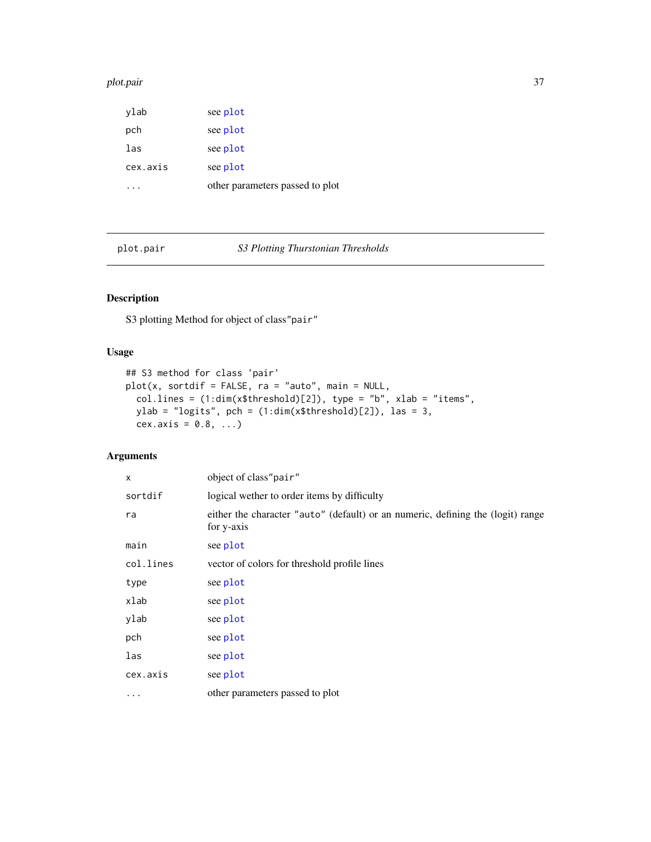#### <span id="page-36-0"></span>plot.pair 37

| ylab     | see plot                        |
|----------|---------------------------------|
| pch      | see plot                        |
| las      | see plot                        |
| cex.axis | see plot                        |
|          | other parameters passed to plot |

<span id="page-36-1"></span>plot.pair *S3 Plotting Thurstonian Thresholds*

# Description

S3 plotting Method for object of class"pair"

# Usage

```
## S3 method for class 'pair'
plot(x, sortdif = FALSE, ra = "auto", main = NULL,col.lines = (1:dim(x$threshold)[2]), type = "b", xlab = "items",
 ylab = "logits", pch = (1:dim(x$threshold)[2]), las = 3,
 cex.axis = 0.8, ...)
```

| X         | object of class"pair"                                                                         |
|-----------|-----------------------------------------------------------------------------------------------|
| sortdif   | logical wether to order items by difficulty                                                   |
| ra        | either the character "auto" (default) or an numeric, defining the (logit) range<br>for y-axis |
| main      | see plot                                                                                      |
| col.lines | vector of colors for threshold profile lines                                                  |
| type      | see plot                                                                                      |
| xlab      | see plot                                                                                      |
| ylab      | see plot                                                                                      |
| pch       | see plot                                                                                      |
| las       | see plot                                                                                      |
| cex.axis  | see plot                                                                                      |
| $\cdots$  | other parameters passed to plot                                                               |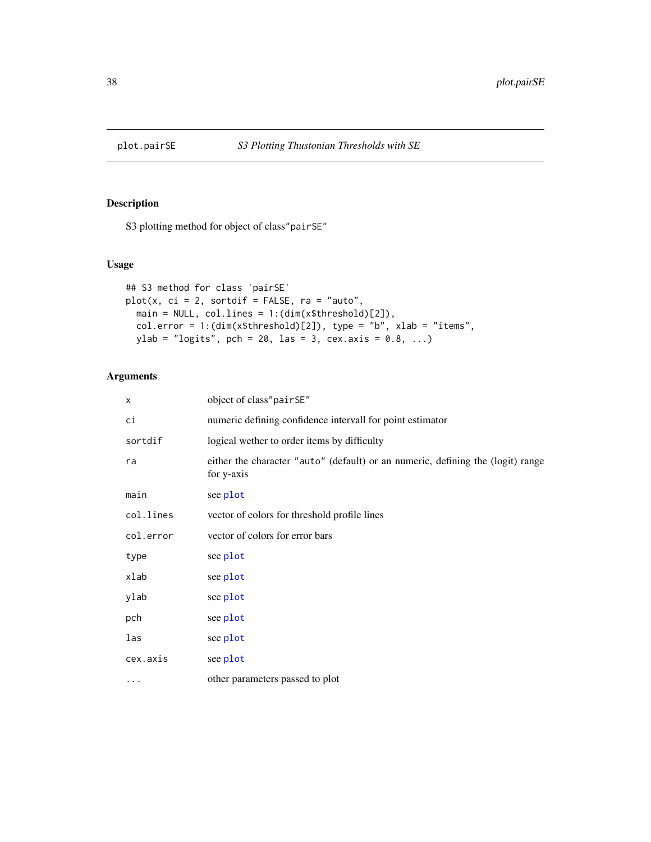<span id="page-37-0"></span>

S3 plotting method for object of class"pairSE"

# Usage

```
## S3 method for class 'pairSE'
plot(x, ci = 2, sortdif = FALSE, ra = "auto",
 main = NULL, col.lines = 1:(dim(x$threshold)[2]),
 col.error = 1:(dim(x$threshold)[2]), type = "b", xlab = "items",
 ylab = "logits", pch = 20, las = 3, cex.axis = 0.8, ...)
```

| х         | object of class"pairSE"                                                                       |
|-----------|-----------------------------------------------------------------------------------------------|
| сi        | numeric defining confidence intervall for point estimator                                     |
| sortdif   | logical wether to order items by difficulty                                                   |
| ra        | either the character "auto" (default) or an numeric, defining the (logit) range<br>for y-axis |
| main      | see plot                                                                                      |
| col.lines | vector of colors for threshold profile lines                                                  |
| col.error | vector of colors for error bars                                                               |
| type      | see plot                                                                                      |
| xlab      | see plot                                                                                      |
| ylab      | see plot                                                                                      |
| pch       | see plot                                                                                      |
| las       | see plot                                                                                      |
| cex.axis  | see plot                                                                                      |
| $\cdots$  | other parameters passed to plot                                                               |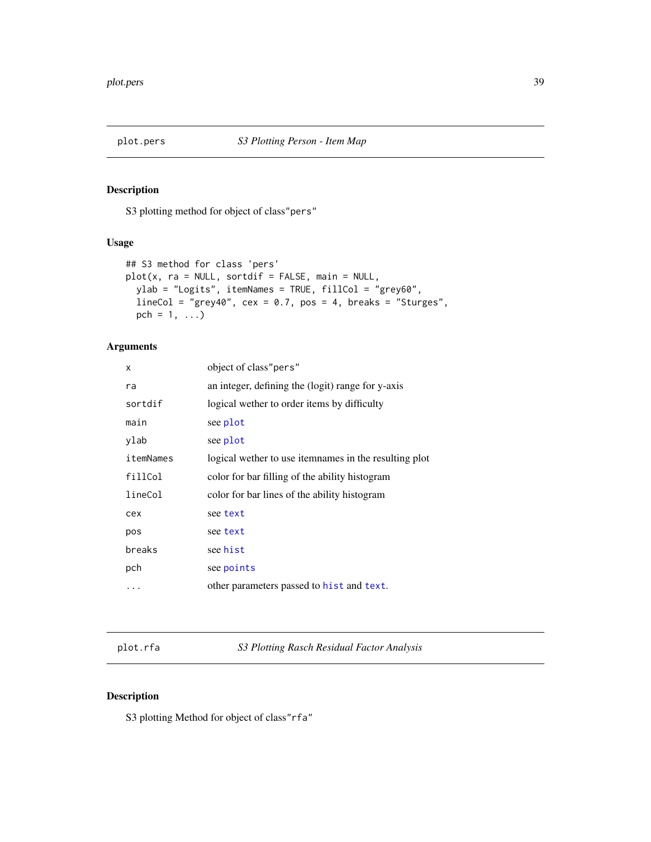<span id="page-38-0"></span>

S3 plotting method for object of class"pers"

# Usage

```
## S3 method for class 'pers'
plot(x, ra = NULL, sortdif = FALSE, main = NULL,ylab = "Logits", itemNames = TRUE, fillCol = "grey60",
 lineCol = "grey40", ccx = 0.7, pos = 4, breaks = "Sturges",pch = 1, ...)
```
# Arguments

| x         | object of class"pers"                                 |
|-----------|-------------------------------------------------------|
| ra        | an integer, defining the (logit) range for y-axis     |
| sortdif   | logical wether to order items by difficulty           |
| main      | see plot                                              |
| ylab      | see plot                                              |
| itemNames | logical wether to use itemnames in the resulting plot |
| fillCol   | color for bar filling of the ability histogram        |
| lineCol   | color for bar lines of the ability histogram          |
| cex       | see text                                              |
| pos       | see text                                              |
| breaks    | see hist                                              |
| pch       | see points                                            |
| .         | other parameters passed to hist and text.             |

plot.rfa *S3 Plotting Rasch Residual Factor Analysis*

# Description

S3 plotting Method for object of class"rfa"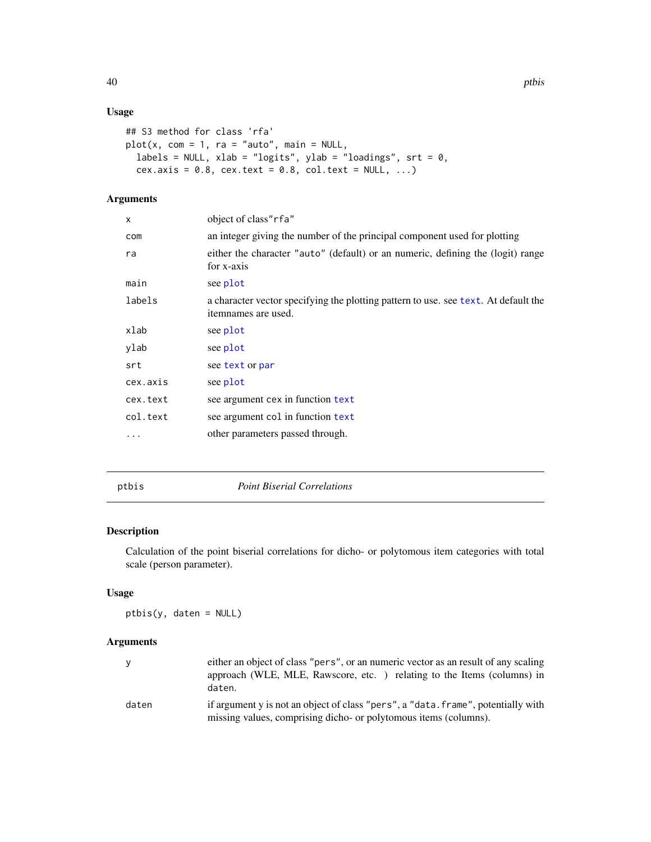# Usage

```
## S3 method for class 'rfa'
plot(x, com = 1, ra = "auto", main = NULL,labels = NULL, xlab = "logits", ylab = "loadings", srt = 0,
  cex.axis = 0.8, cex.text = 0.8, col.text = NULL, ...)
```
# Arguments

| $\times$ | object of class"rfa"                                                                                       |
|----------|------------------------------------------------------------------------------------------------------------|
| com      | an integer giving the number of the principal component used for plotting                                  |
| ra       | either the character "auto" (default) or an numeric, defining the (logit) range<br>for x-axis              |
| main     | see plot                                                                                                   |
| labels   | a character vector specifying the plotting pattern to use, see text. At default the<br>itemnames are used. |
| xlab     | see plot                                                                                                   |
| ylab     | see plot                                                                                                   |
| srt      | see text or par                                                                                            |
| cex.axis | see plot                                                                                                   |
| cex.text | see argument cex in function text                                                                          |
| col.text | see argument col in function text                                                                          |
| .        | other parameters passed through.                                                                           |
|          |                                                                                                            |

#### <span id="page-39-1"></span>ptbis *Point Biserial Correlations*

# Description

Calculation of the point biserial correlations for dicho- or polytomous item categories with total scale (person parameter).

# Usage

ptbis(y, daten = NULL)

|       | either an object of class "pers", or an numeric vector as an result of any scaling<br>approach (WLE, MLE, Rawscore, etc.) relating to the Items (columns) in<br>daten. |
|-------|------------------------------------------------------------------------------------------------------------------------------------------------------------------------|
| daten | if argument y is not an object of class "pers", a "data. frame", potentially with<br>missing values, comprising dicho- or polytomous items (columns).                  |

<span id="page-39-0"></span>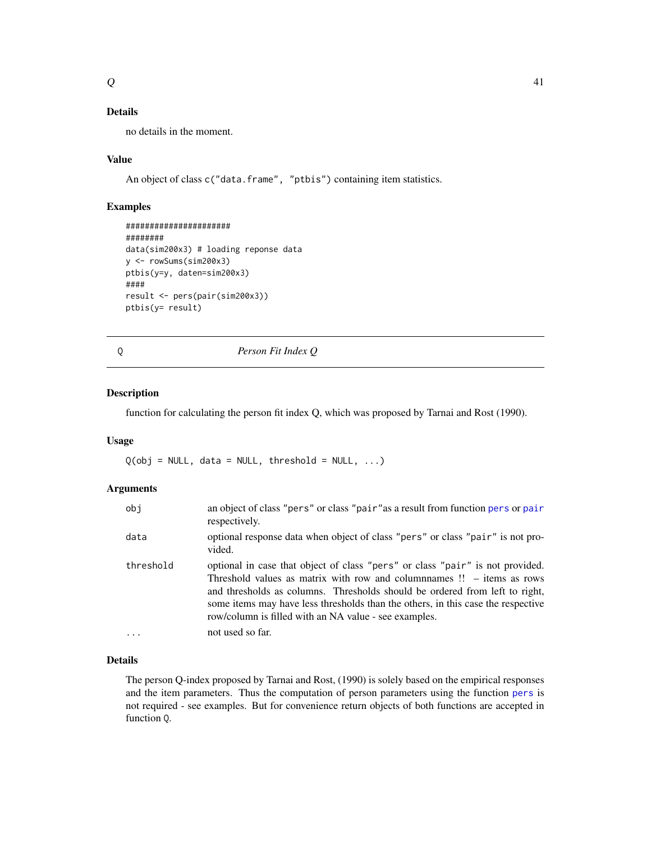<span id="page-40-0"></span>no details in the moment.

#### Value

An object of class c("data.frame", "ptbis") containing item statistics.

# Examples

```
######################
########
data(sim200x3) # loading reponse data
y <- rowSums(sim200x3)
ptbis(y=y, daten=sim200x3)
####
result <- pers(pair(sim200x3))
ptbis(y= result)
```
# Q *Person Fit Index Q*

# Description

function for calculating the person fit index Q, which was proposed by Tarnai and Rost (1990).

#### Usage

 $Q(obj = NULL, data = NULL, threshold = NULL, ...)$ 

#### Arguments

| obj       | an object of class "pers" or class "pair" as a result from function pers or pair<br>respectively.                                                                                                                                                                                                                                                                                            |
|-----------|----------------------------------------------------------------------------------------------------------------------------------------------------------------------------------------------------------------------------------------------------------------------------------------------------------------------------------------------------------------------------------------------|
| data      | optional response data when object of class "pers" or class "pair" is not pro-<br>vided.                                                                                                                                                                                                                                                                                                     |
| threshold | optional in case that object of class "pers" or class "pair" is not provided.<br>Threshold values as matrix with row and columnames $\mathbb{I}$ – items as rows<br>and thresholds as columns. Thresholds should be ordered from left to right,<br>some items may have less thresholds than the others, in this case the respective<br>row/column is filled with an NA value - see examples. |
| $\cdots$  | not used so far.                                                                                                                                                                                                                                                                                                                                                                             |

#### Details

The person Q-index proposed by Tarnai and Rost, (1990) is solely based on the empirical responses and the item parameters. Thus the computation of person parameters using the function [pers](#page-33-1) is not required - see examples. But for convenience return objects of both functions are accepted in function Q.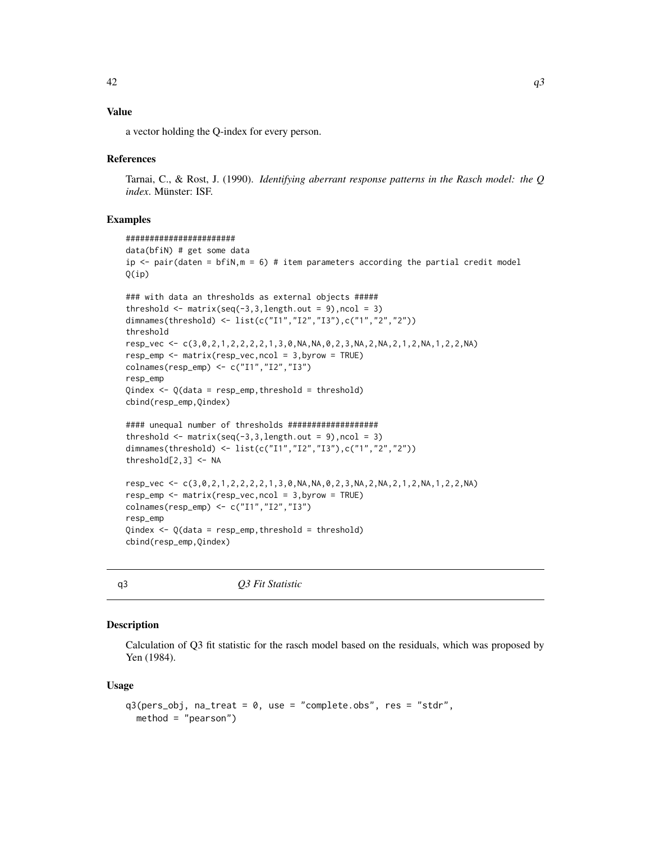# <span id="page-41-0"></span>Value

a vector holding the Q-index for every person.

#### References

Tarnai, C., & Rost, J. (1990). *Identifying aberrant response patterns in the Rasch model: the Q index*. Münster: ISF.

#### Examples

```
#######################
data(bfiN) # get some data
ip \le - pair(daten = bfiN, m = 6) # item parameters according the partial credit model
Q(ip)
### with data an thresholds as external objects #####
threshold \leq matrix(seq(-3,3,length.out = 9), ncol = 3)
dimnames(threshold) <- list(c("I1","I2","I3"),c("1","2","2"))
threshold
resp_vec <- c(3,0,2,1,2,2,2,2,1,3,0,NA,NA,0,2,3,NA,2,NA,2,1,2,NA,1,2,2,NA)
resp_{emp} < - matrix(resp\_vec, ncol = 3, byrow = TRUE)colnames(resp_emp) <- c("I1","I2","I3")
resp_emp
Qindex <- Q(data = resp_emp,threshold = threshold)
cbind(resp_emp,Qindex)
#### unequal number of thresholds ###################
threshold \leq matrix(seq(-3,3,length.out = 9), ncol = 3)
dimnames(threshold) <- list(c("I1","I2","I3"),c("1","2","2"))
threshold[2,3] <- NA
resp_vec <- c(3,0,2,1,2,2,2,2,1,3,0,NA,NA,0,2,3,NA,2,NA,2,1,2,NA,1,2,2,NA)
resp_emp <- matrix(resp_vec,ncol = 3,byrow = TRUE)
colnames(resp_emp) <- c("I1","I2","I3")
resp_emp
Qindex \leftarrow Q(data = resp\_emp, threshold = threshold)cbind(resp_emp,Qindex)
```
q3 *Q3 Fit Statistic*

#### Description

Calculation of Q3 fit statistic for the rasch model based on the residuals, which was proposed by Yen (1984).

#### Usage

```
q3(pers_obj, na_treat = 0, use = "complete.obs", res = "stdr",
 method = "pearson")
```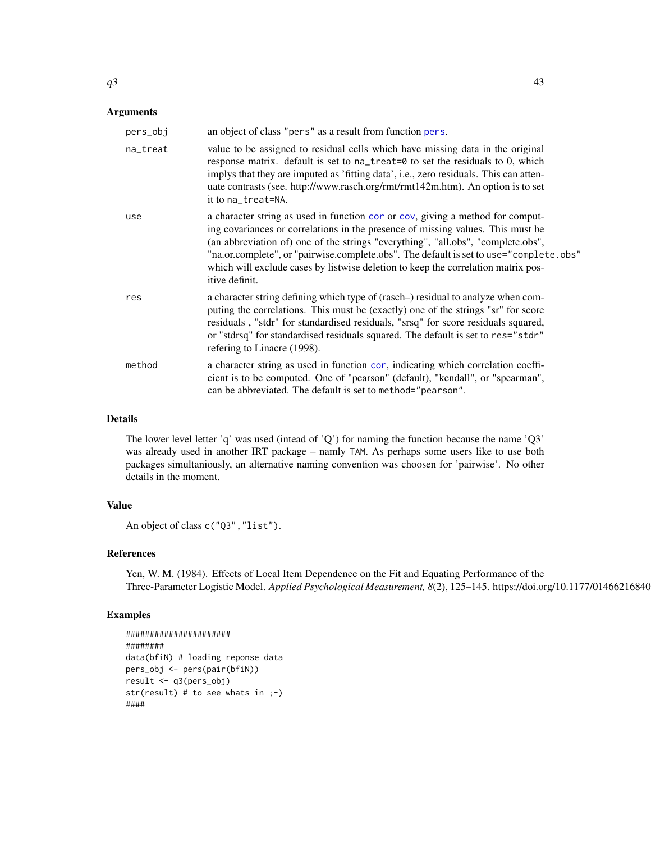<span id="page-42-0"></span>

| pers_obj | an object of class "pers" as a result from function pers.                                                                                                                                                                                                                                                                                                                                                                                              |
|----------|--------------------------------------------------------------------------------------------------------------------------------------------------------------------------------------------------------------------------------------------------------------------------------------------------------------------------------------------------------------------------------------------------------------------------------------------------------|
| na_treat | value to be assigned to residual cells which have missing data in the original<br>response matrix. default is set to na_treat=0 to set the residuals to 0, which<br>implys that they are imputed as 'fitting data', i.e., zero residuals. This can atten-<br>uate contrasts (see. http://www.rasch.org/rmt/rmt142m.htm). An option is to set<br>it to na_treat=NA.                                                                                     |
| use      | a character string as used in function cor or cov, giving a method for comput-<br>ing covariances or correlations in the presence of missing values. This must be<br>(an abbreviation of) one of the strings "everything", "all.obs", "complete.obs",<br>"na.or.complete", or "pairwise.complete.obs". The default is set to use="complete.obs"<br>which will exclude cases by listwise deletion to keep the correlation matrix pos-<br>itive definit. |
| res      | a character string defining which type of (rasch–) residual to analyze when com-<br>puting the correlations. This must be (exactly) one of the strings "sr" for score<br>residuals, "stdr" for standardised residuals, "srsq" for score residuals squared,<br>or "stdrsq" for standardised residuals squared. The default is set to res="stdr"<br>refering to Linacre (1998).                                                                          |
| method   | a character string as used in function cor, indicating which correlation coeffi-<br>cient is to be computed. One of "pearson" (default), "kendall", or "spearman",<br>can be abbreviated. The default is set to method="pearson".                                                                                                                                                                                                                      |

The lower level letter 'q' was used (intead of 'Q') for naming the function because the name ' $Q3'$ was already used in another IRT package – namly TAM. As perhaps some users like to use both packages simultaniously, an alternative naming convention was choosen for 'pairwise'. No other details in the moment.

#### Value

```
An object of class c("Q3","list").
```
#### References

Yen, W. M. (1984). Effects of Local Item Dependence on the Fit and Equating Performance of the Three-Parameter Logistic Model. *Applied Psychological Measurement, 8(2), 125*-145. https://doi.org/10.1177/01466216840

```
######################
########
data(bfiN) # loading reponse data
pers_obj <- pers(pair(bfiN))
result <- q3(pers_obj)
str(result) # to see whats in ;-)
####
```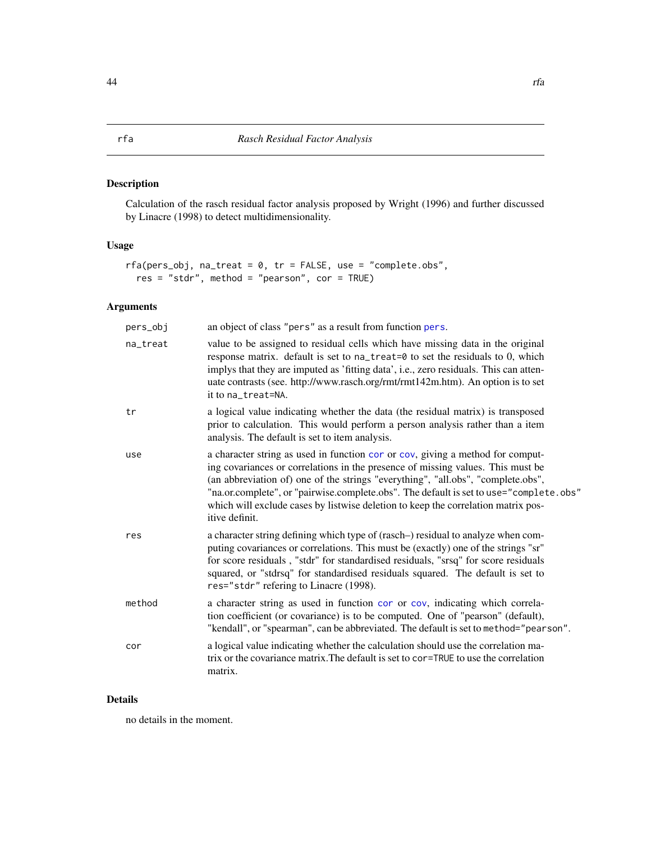<span id="page-43-1"></span><span id="page-43-0"></span>Calculation of the rasch residual factor analysis proposed by Wright (1996) and further discussed by Linacre (1998) to detect multidimensionality.

# Usage

```
rfa(pers_obj, na_treat = 0, tr = FALSE, use = "complete.obs",res = "stdr", method = "pearson", cor = TRUE)
```
# Arguments

| pers_obj | an object of class "pers" as a result from function pers.                                                                                                                                                                                                                                                                                                                                                                                              |
|----------|--------------------------------------------------------------------------------------------------------------------------------------------------------------------------------------------------------------------------------------------------------------------------------------------------------------------------------------------------------------------------------------------------------------------------------------------------------|
| na_treat | value to be assigned to residual cells which have missing data in the original<br>response matrix. default is set to na_treat=0 to set the residuals to 0, which<br>implys that they are imputed as 'fitting data', i.e., zero residuals. This can atten-<br>uate contrasts (see. http://www.rasch.org/rmt/rmt142m.htm). An option is to set<br>it to na_treat=NA.                                                                                     |
| tr       | a logical value indicating whether the data (the residual matrix) is transposed<br>prior to calculation. This would perform a person analysis rather than a item<br>analysis. The default is set to item analysis.                                                                                                                                                                                                                                     |
| use      | a character string as used in function cor or cov, giving a method for comput-<br>ing covariances or correlations in the presence of missing values. This must be<br>(an abbreviation of) one of the strings "everything", "all.obs", "complete.obs",<br>"na.or.complete", or "pairwise.complete.obs". The default is set to use="complete.obs"<br>which will exclude cases by listwise deletion to keep the correlation matrix pos-<br>itive definit. |
| res      | a character string defining which type of (rasch-) residual to analyze when com-<br>puting covariances or correlations. This must be (exactly) one of the strings "sr"<br>for score residuals, "stdr" for standardised residuals, "srsq" for score residuals<br>squared, or "stdrsq" for standardised residuals squared. The default is set to<br>res="stdr" refering to Linacre (1998).                                                               |
| method   | a character string as used in function cor or cov, indicating which correla-<br>tion coefficient (or covariance) is to be computed. One of "pearson" (default),<br>"kendall", or "spearman", can be abbreviated. The default is set to method="pearson".                                                                                                                                                                                               |
| cor      | a logical value indicating whether the calculation should use the correlation ma-<br>trix or the covariance matrix. The default is set to cor-TRUE to use the correlation<br>matrix.                                                                                                                                                                                                                                                                   |

# Details

no details in the moment.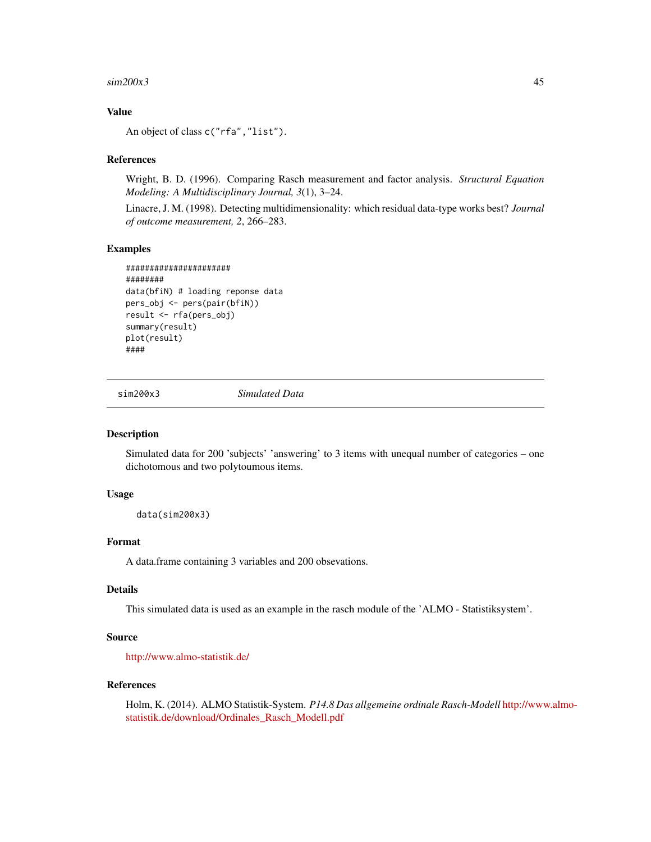#### <span id="page-44-0"></span> $\sin 200x3$  45

# Value

An object of class c("rfa","list").

#### References

Wright, B. D. (1996). Comparing Rasch measurement and factor analysis. *Structural Equation Modeling: A Multidisciplinary Journal, 3*(1), 3–24.

Linacre, J. M. (1998). Detecting multidimensionality: which residual data-type works best? *Journal of outcome measurement, 2*, 266–283.

#### Examples

```
######################
########
data(bfiN) # loading reponse data
pers_obj <- pers(pair(bfiN))
result <- rfa(pers_obj)
summary(result)
plot(result)
####
```
sim200x3 *Simulated Data*

# Description

Simulated data for 200 'subjects' 'answering' to 3 items with unequal number of categories – one dichotomous and two polytoumous items.

#### Usage

data(sim200x3)

# Format

A data.frame containing 3 variables and 200 obsevations.

#### Details

This simulated data is used as an example in the rasch module of the 'ALMO - Statistiksystem'.

# Source

<http://www.almo-statistik.de/>

#### References

Holm, K. (2014). ALMO Statistik-System. *P14.8 Das allgemeine ordinale Rasch-Modell* [http://www](http://www.almo-statistik.de/download/Ordinales_Rasch_Modell.pdf).almo[statistik.de/download/Ordinales\\_Rasch\\_Modell.pdf](http://www.almo-statistik.de/download/Ordinales_Rasch_Modell.pdf)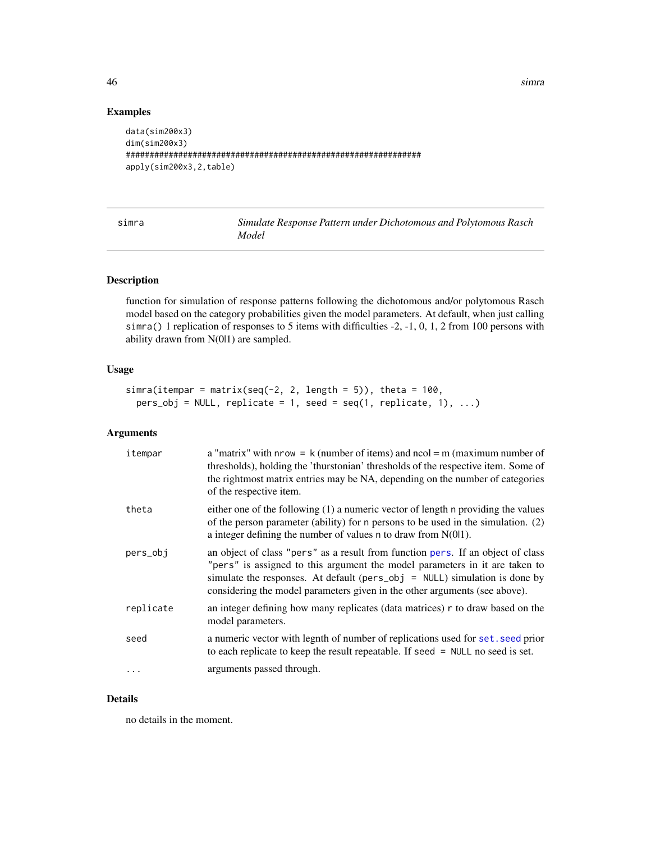<span id="page-45-0"></span>46 simra and the state of the state of the state of the state of the state of the state of the state of the state of the state of the state of the state of the state of the state of the state of the state of the state of t

# Examples

```
data(sim200x3)
dim(sim200x3)
##############################################################
apply(sim200x3,2,table)
```

| simra | Simulate Response Pattern under Dichotomous and Polytomous Rasch |
|-------|------------------------------------------------------------------|
|       | Model                                                            |

# Description

function for simulation of response patterns following the dichotomous and/or polytomous Rasch model based on the category probabilities given the model parameters. At default, when just calling simra() 1 replication of responses to 5 items with difficulties -2, -1, 0, 1, 2 from 100 persons with ability drawn from N(0|1) are sampled.

# Usage

```
simra(itempar = matrix(seq(-2, 2, length = 5)), theta = 100,
 pers\_obj = NULL, replicate = 1, seed = seq(1, replicate, 1), ...
```
#### Arguments

| itempar   | a "matrix" with $nrow = k$ (number of items) and $ncol = m$ (maximum number of<br>thresholds), holding the 'thurstonian' thresholds of the respective item. Some of<br>the rightmost matrix entries may be NA, depending on the number of categories<br>of the respective item.                                                 |
|-----------|---------------------------------------------------------------------------------------------------------------------------------------------------------------------------------------------------------------------------------------------------------------------------------------------------------------------------------|
| theta     | either one of the following $(1)$ a numeric vector of length n providing the values<br>of the person parameter (ability) for n persons to be used in the simulation. (2)<br>a integer defining the number of values n to draw from $N(0 1)$ .                                                                                   |
| pers_obj  | an object of class "pers" as a result from function pers. If an object of class<br>"pers" is assigned to this argument the model parameters in it are taken to<br>simulate the responses. At default ( $pers\_obj = NULL$ ) simulation is done by<br>considering the model parameters given in the other arguments (see above). |
| replicate | an integer defining how many replicates (data matrices) r to draw based on the<br>model parameters.                                                                                                                                                                                                                             |
| seed      | a numeric vector with legnth of number of replications used for set. seed prior<br>to each replicate to keep the result repeatable. If seed $=$ NULL no seed is set.                                                                                                                                                            |
| $\ddots$  | arguments passed through.                                                                                                                                                                                                                                                                                                       |

# Details

no details in the moment.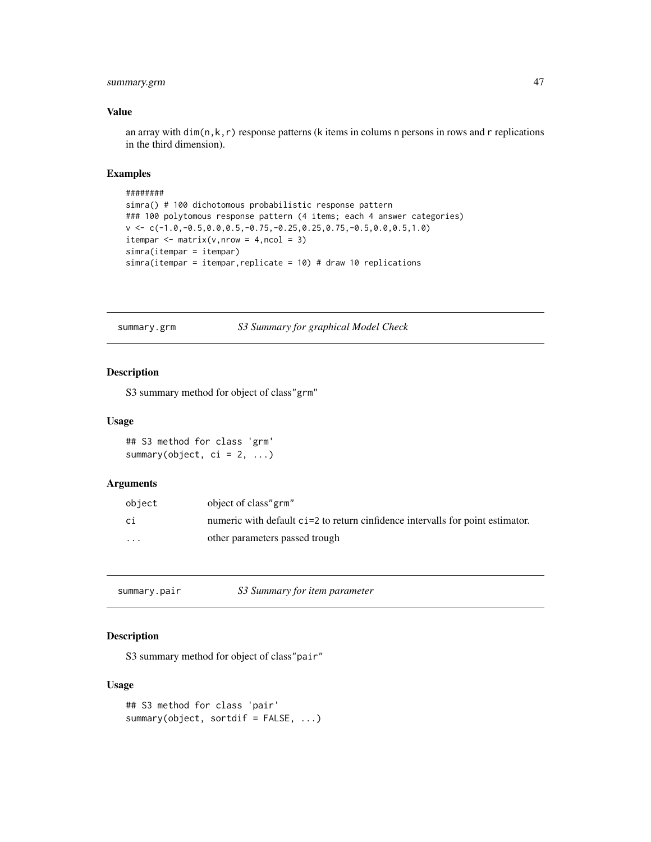# <span id="page-46-0"></span>summary.grm 47

### Value

an array with dim(n, k, r) response patterns (k items in colums n persons in rows and r replications in the third dimension).

#### Examples

```
########
simra() # 100 dichotomous probabilistic response pattern
### 100 polytomous response pattern (4 items; each 4 answer categories)
v \leq C(-1.0,-0.5,0.0,0.5,-0.75,-0.25,0.25,0.75,-0.5,0.0,0.5,1.0)itempar \leq matrix(v, nrow = 4, ncol = 3)
simra(itempar = itempar)
simra(itempar = itempar,replicate = 10) # draw 10 replications
```
summary.grm *S3 Summary for graphical Model Check*

#### Description

S3 summary method for object of class"grm"

### Usage

## S3 method for class 'grm' summary(object,  $ci = 2, ...$ )

#### Arguments

| object                  | object of class" grm"                                                          |
|-------------------------|--------------------------------------------------------------------------------|
| сi                      | numeric with default ci=2 to return cinfidence intervalls for point estimator. |
| $\cdot$ $\cdot$ $\cdot$ | other parameters passed trough                                                 |

summary.pair *S3 Summary for item parameter*

# Description

S3 summary method for object of class"pair"

# Usage

```
## S3 method for class 'pair'
summary(object, sortdif = FALSE, ...)
```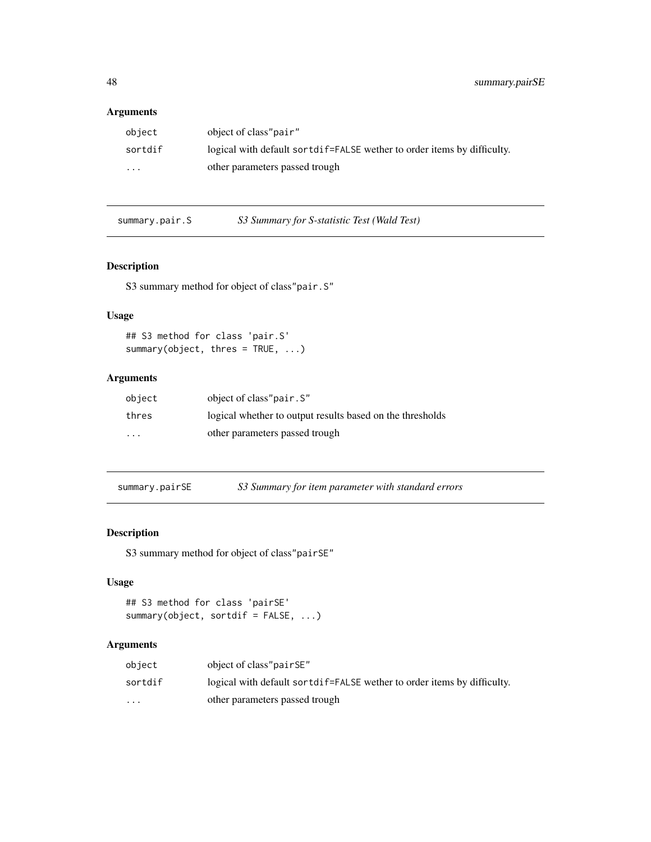# <span id="page-47-0"></span>Arguments

| object  | object of class"pair"                                                    |
|---------|--------------------------------------------------------------------------|
| sortdif | logical with default sort dif-FALSE wether to order items by difficulty. |
| $\cdot$ | other parameters passed trough                                           |

summary.pair.S *S3 Summary for S-statistic Test (Wald Test)*

# Description

S3 summary method for object of class"pair.S"

# Usage

```
## S3 method for class 'pair.S'
summary(object, thres = TRUE, ...)
```
# Arguments

| object               | object of class"pair. S"                                  |
|----------------------|-----------------------------------------------------------|
| thres                | logical whether to output results based on the thresholds |
| $\ddot{\phantom{0}}$ | other parameters passed trough                            |

summary.pairSE *S3 Summary for item parameter with standard errors*

# Description

S3 summary method for object of class"pairSE"

# Usage

```
## S3 method for class 'pairSE'
summary(object, sortdif = FALSE, ...)
```

| object               | object of class" pair SE"                                                                                                                                                                                                      |
|----------------------|--------------------------------------------------------------------------------------------------------------------------------------------------------------------------------------------------------------------------------|
| sortdif              | logical with default sort different solution with the solution of the solution of the solution of the logical with the solution of the solution of the solution of the solution of the solution of the solution of the solutio |
| $\ddot{\phantom{0}}$ | other parameters passed trough                                                                                                                                                                                                 |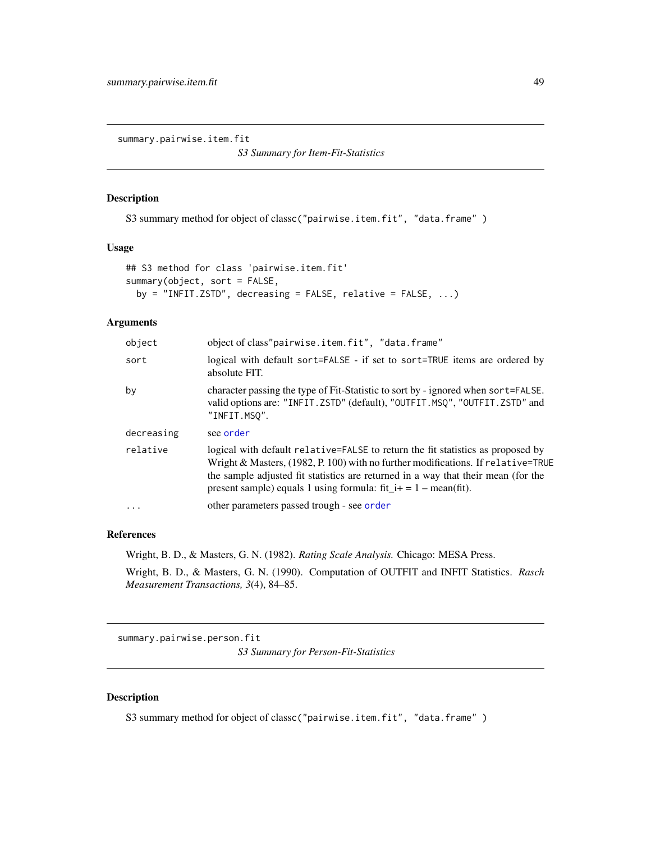<span id="page-48-0"></span>summary.pairwise.item.fit

*S3 Summary for Item-Fit-Statistics*

# Description

S3 summary method for object of classc("pairwise.item.fit", "data.frame" )

#### Usage

```
## S3 method for class 'pairwise.item.fit'
summary(object, sort = FALSE,
 by = "INFIT.ZSTD", decreasing = FALSE, relative = FALSE, \dots)
```
# Arguments

| object     | object of class"pairwise.item.fit", "data.frame"                                                                                                                                                                                                                                                                                |
|------------|---------------------------------------------------------------------------------------------------------------------------------------------------------------------------------------------------------------------------------------------------------------------------------------------------------------------------------|
| sort       | logical with default sort=FALSE - if set to sort=TRUE items are ordered by<br>absolute FIT.                                                                                                                                                                                                                                     |
| by         | character passing the type of Fit-Statistic to sort by - ignored when sort=FALSE.<br>valid options are: "INFIT.ZSTD" (default), "OUTFIT.MSQ", "OUTFIT.ZSTD" and<br>"INFIT.MSO".                                                                                                                                                 |
| decreasing | see order                                                                                                                                                                                                                                                                                                                       |
| relative   | logical with default relative=FALSE to return the fit statistics as proposed by<br>Wright & Masters, (1982, P. 100) with no further modifications. If relative=TRUE<br>the sample adjusted fit statistics are returned in a way that their mean (for the<br>present sample) equals 1 using formula: $fit_i + = 1 - mean(fit)$ . |
| $\ddots$   | other parameters passed trough - see order                                                                                                                                                                                                                                                                                      |
|            |                                                                                                                                                                                                                                                                                                                                 |

# References

Wright, B. D., & Masters, G. N. (1982). *Rating Scale Analysis.* Chicago: MESA Press. Wright, B. D., & Masters, G. N. (1990). Computation of OUTFIT and INFIT Statistics. *Rasch Measurement Transactions, 3*(4), 84–85.

summary.pairwise.person.fit *S3 Summary for Person-Fit-Statistics*

# Description

S3 summary method for object of classc("pairwise.item.fit", "data.frame")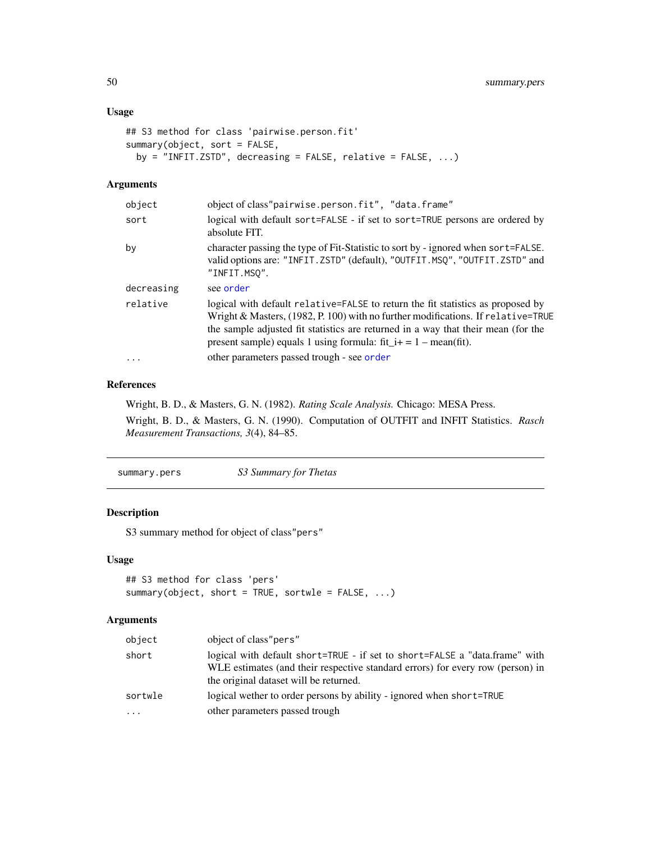# <span id="page-49-0"></span>Usage

```
## S3 method for class 'pairwise.person.fit'
summary(object, sort = FALSE,
 by = "INFIT.ZSTD", decreasing = FALSE, relative = FALSE, ...)
```
## Arguments

| logical with default sort=FALSE - if set to sort=TRUE persons are ordered by                                                                                                                                                                               |
|------------------------------------------------------------------------------------------------------------------------------------------------------------------------------------------------------------------------------------------------------------|
| character passing the type of Fit-Statistic to sort by - ignored when sort=FALSE.<br>valid options are: "INFIT.ZSTD" (default), "OUTFIT.MSQ", "OUTFIT.ZSTD" and                                                                                            |
|                                                                                                                                                                                                                                                            |
| logical with default relative=FALSE to return the fit statistics as proposed by<br>Wright & Masters, $(1982, P. 100)$ with no further modifications. If relative=TRUE<br>the sample adjusted fit statistics are returned in a way that their mean (for the |
|                                                                                                                                                                                                                                                            |
|                                                                                                                                                                                                                                                            |

# References

Wright, B. D., & Masters, G. N. (1982). *Rating Scale Analysis.* Chicago: MESA Press.

Wright, B. D., & Masters, G. N. (1990). Computation of OUTFIT and INFIT Statistics. *Rasch Measurement Transactions, 3*(4), 84–85.

summary.pers *S3 Summary for Thetas*

# Description

S3 summary method for object of class"pers"

# Usage

```
## S3 method for class 'pers'
summary(object, short = TRUE, sortwle = FALSE, ...)
```

| object   | object of class" pers"                                                                                                                                                                                  |
|----------|---------------------------------------------------------------------------------------------------------------------------------------------------------------------------------------------------------|
| short    | logical with default short=TRUE - if set to short=FALSE a "data.frame" with<br>WLE estimates (and their respective standard errors) for every row (person) in<br>the original dataset will be returned. |
| sortwle  | logical wether to order persons by ability - ignored when short=TRUE                                                                                                                                    |
| $\cdots$ | other parameters passed trough                                                                                                                                                                          |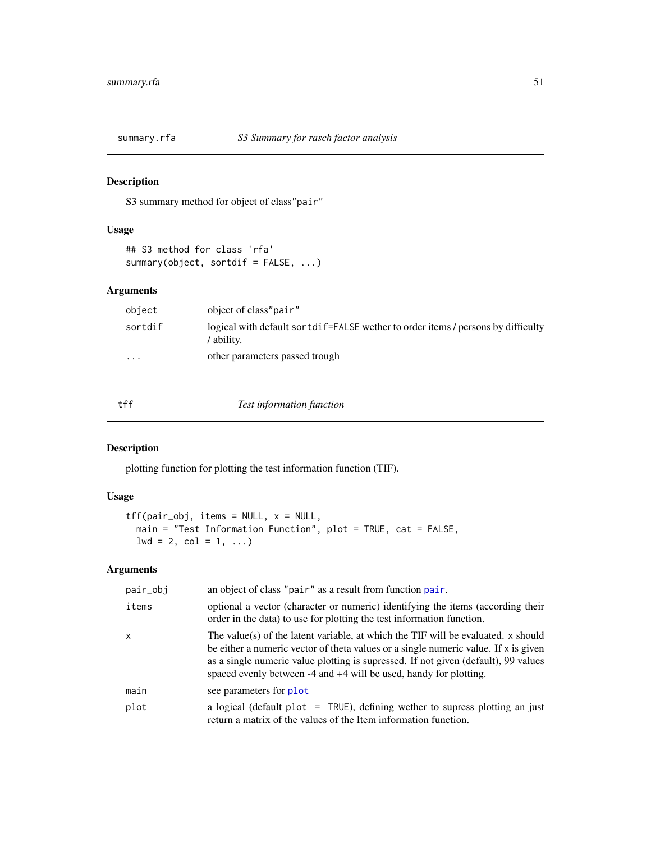<span id="page-50-0"></span>

S3 summary method for object of class"pair"

# Usage

```
## S3 method for class 'rfa'
summary(object, sortdif = FALSE, ...)
```
# Arguments

| object  | object of class"pair"                                                                                 |
|---------|-------------------------------------------------------------------------------------------------------|
| sortdif | logical with default sort different set we there to order items / persons by difficulty<br>' ability. |
| $\cdot$ | other parameters passed trough                                                                        |

<span id="page-50-1"></span>

tff *Test information function*

# Description

plotting function for plotting the test information function (TIF).

# Usage

```
tff(pair_obj, items = NULL, x = NULL,
 main = "Test Information Function", plot = TRUE, cat = FALSE,
 1wd = 2, col = 1, ...)
```

| pair_obj | an object of class "pair" as a result from function pair.                                                                                                                                                                                                                                                                             |
|----------|---------------------------------------------------------------------------------------------------------------------------------------------------------------------------------------------------------------------------------------------------------------------------------------------------------------------------------------|
| items    | optional a vector (character or numeric) identifying the items (according their<br>order in the data) to use for plotting the test information function.                                                                                                                                                                              |
| x        | The value(s) of the latent variable, at which the TIF will be evaluated. x should<br>be either a numeric vector of theta values or a single numeric value. If $x$ is given<br>as a single numeric value plotting is supressed. If not given (default), 99 values<br>spaced evenly between -4 and +4 will be used, handy for plotting. |
| main     | see parameters for plot                                                                                                                                                                                                                                                                                                               |
| plot     | a logical (default plot $=$ TRUE), defining wether to supress plotting an just<br>return a matrix of the values of the Item information function.                                                                                                                                                                                     |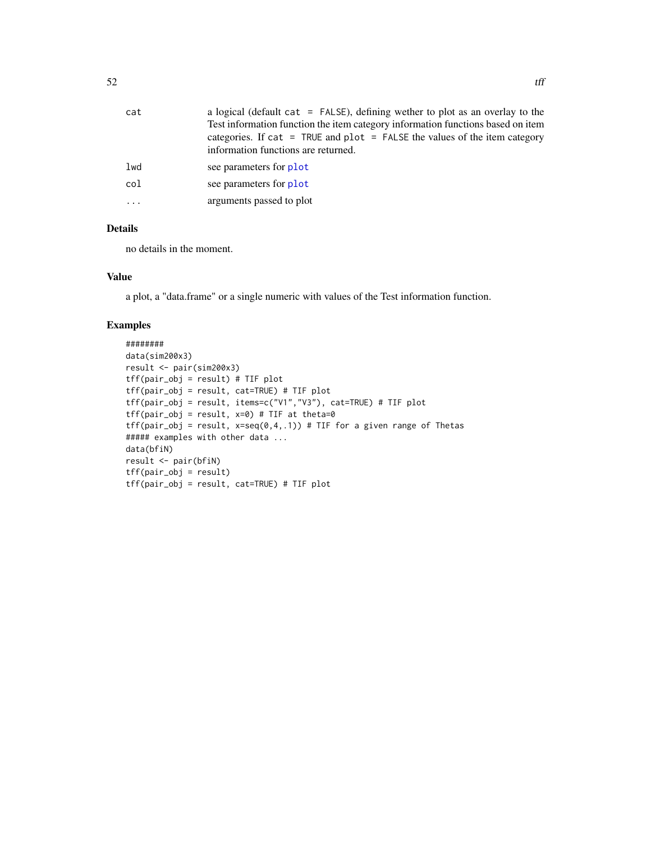<span id="page-51-0"></span>

| cat      | a logical (default cat = FALSE), defining wether to plot as an overlay to the<br>Test information function the item category information functions based on item<br>categories. If cat = TRUE and plot = FALSE the values of the item category<br>information functions are returned. |
|----------|---------------------------------------------------------------------------------------------------------------------------------------------------------------------------------------------------------------------------------------------------------------------------------------|
| lwd      | see parameters for plot                                                                                                                                                                                                                                                               |
| col      | see parameters for plot                                                                                                                                                                                                                                                               |
| $\cdots$ | arguments passed to plot                                                                                                                                                                                                                                                              |

no details in the moment.

# Value

a plot, a "data.frame" or a single numeric with values of the Test information function.

```
########
data(sim200x3)
result <- pair(sim200x3)
tff(pair_obj = result) # TIF plot
tff(pair_obj = result, cat=TRUE) # TIF plot
tff(pair_obj = result, items=c("V1","V3"), cat=TRUE) # TIF plot
tf(pair\_obj = result, x=0) # TIF at theta=0tf(pair\_obj = result, x=seq(0,4,.1)) # TIF for a given range of The tas##### examples with other data ...
data(bfiN)
result <- pair(bfiN)
tff(pair_obj = result)
tff(pair_obj = result, cat=TRUE) # TIF plot
```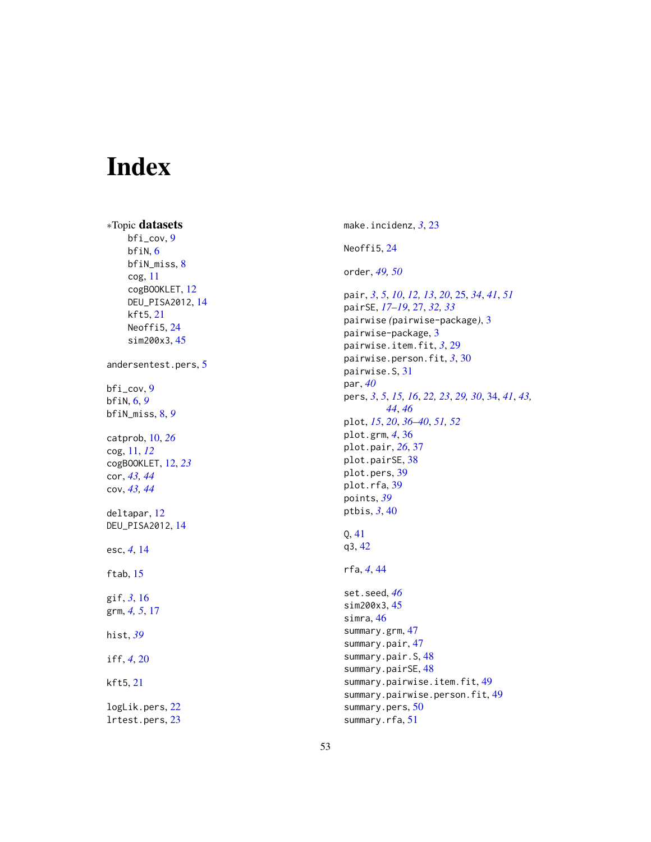# <span id="page-52-0"></span>Index

∗Topic datasets bfi\_cov , [9](#page-8-0) bfiN , [6](#page-5-0) bfiN\_miss , [8](#page-7-0) cog , [11](#page-10-0) cogBOOKLET , [12](#page-11-0) DEU\_PISA2012 , [14](#page-13-0) kft5 , [21](#page-20-0) Neoffi5, [24](#page-23-0) sim200x3 , [45](#page-44-0) andersentest.pers , [5](#page-4-0) bfi\_cov , [9](#page-8-0) bfiN , [6](#page-5-0) , *[9](#page-8-0)* bfiN\_miss , [8](#page-7-0) , *[9](#page-8-0)* catprob , [10](#page-9-0) , *[26](#page-25-0)* cog , [11](#page-10-0) , *[12](#page-11-0)* cogBOOKLET , [12](#page-11-0) , *[23](#page-22-0)* cor , *[43](#page-42-0) , [44](#page-43-0)* cov , *[43](#page-42-0) , [44](#page-43-0)* deltapar , [12](#page-11-0) DEU\_PISA2012 , [14](#page-13-0) esc , *[4](#page-3-0)* , [14](#page-13-0) ftab, [15](#page-14-0) gif , *[3](#page-2-0)* , [16](#page-15-0) grm, [4](#page-3-0), [5](#page-4-0), [17](#page-16-0) hist , *[39](#page-38-0)* iff , *[4](#page-3-0)* , [20](#page-19-0) kft5 , [21](#page-20-0) logLik.pers , [22](#page-21-0)

lrtest.pers , [23](#page-22-0)

make.incidenz , *[3](#page-2-0)* , [23](#page-22-0) Neoffi5 , [24](#page-23-0) order , *[49](#page-48-0) , [50](#page-49-0)* pair , *[3](#page-2-0)* , *[5](#page-4-0)* , *[10](#page-9-0)* , *[12](#page-11-0) , [13](#page-12-0)* , *[20](#page-19-0)* , [25](#page-24-0) , *[34](#page-33-0)* , *[41](#page-40-0)* , *[51](#page-50-0)* pairSE , *[17](#page-16-0)[–19](#page-18-0)* , [27](#page-26-0) , *[32](#page-31-0) , [33](#page-32-0)* pairwise *(*pairwise-package *)* , [3](#page-2-0) pairwise-package , [3](#page-2-0) pairwise.item.fit , *[3](#page-2-0)* , [29](#page-28-0) pairwise.person.fit , *[3](#page-2-0)* , [30](#page-29-0) pairwise.S , [31](#page-30-0) par , *[40](#page-39-0)* pers, [3](#page-2-0), [5](#page-4-0), [15](#page-14-0), [16](#page-15-0), [22](#page-21-0), [23](#page-22-0), [29](#page-28-0), [30](#page-29-0), [34](#page-33-0), [41](#page-40-0), [43](#page-42-0), *[44](#page-43-0)* , *[46](#page-45-0)* plot , *[15](#page-14-0)* , *[20](#page-19-0)* , *[36](#page-35-0)[–40](#page-39-0)* , *[51](#page-50-0) , [52](#page-51-0)* plot.grm , *[4](#page-3-0)* , [36](#page-35-0) plot.pair , *[26](#page-25-0)* , [37](#page-36-0) plot.pairSE , [38](#page-37-0) plot.pers , [39](#page-38-0) plot.rfa, [39](#page-38-0) points , *[39](#page-38-0)* ptbis , *[3](#page-2-0)* , [40](#page-39-0) Q , [41](#page-40-0) q3 , [42](#page-41-0) rfa , *[4](#page-3-0)* , [44](#page-43-0) set.seed , *[46](#page-45-0)* sim200x3 , [45](#page-44-0) simra, [46](#page-45-0) summary.grm , [47](#page-46-0) summary.pair, [47](#page-46-0) summary.pair.S, [48](#page-47-0) summary.pairSE, [48](#page-47-0) summary.pairwise.item.fit, [49](#page-48-0) summary.pairwise.person.fit, [49](#page-48-0) summary.pers, [50](#page-49-0) summary.rfa, [51](#page-50-0)